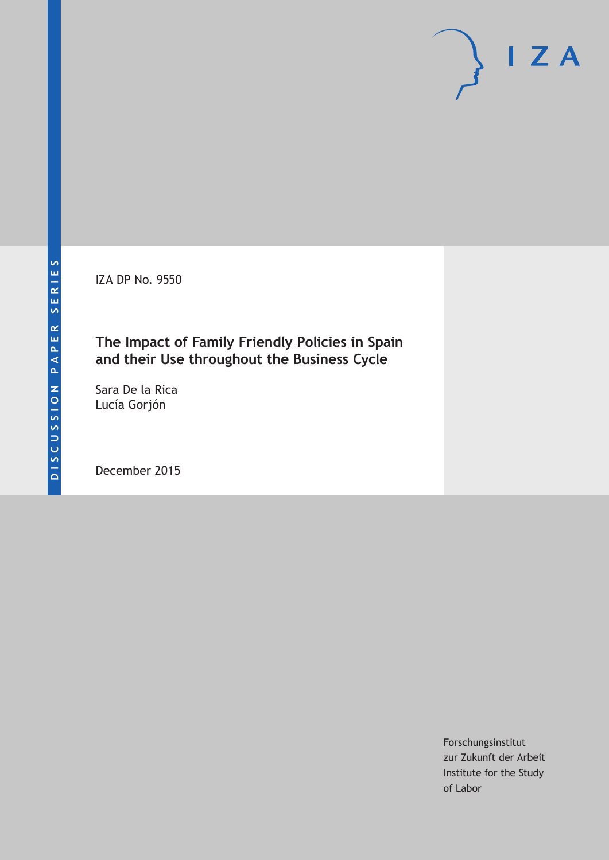IZA DP No. 9550

# **The Impact of Family Friendly Policies in Spain and their Use throughout the Business Cycle**

Sara De la Rica Lucía Gorjón

December 2015

Forschungsinstitut zur Zukunft der Arbeit Institute for the Study of Labor

 $I Z A$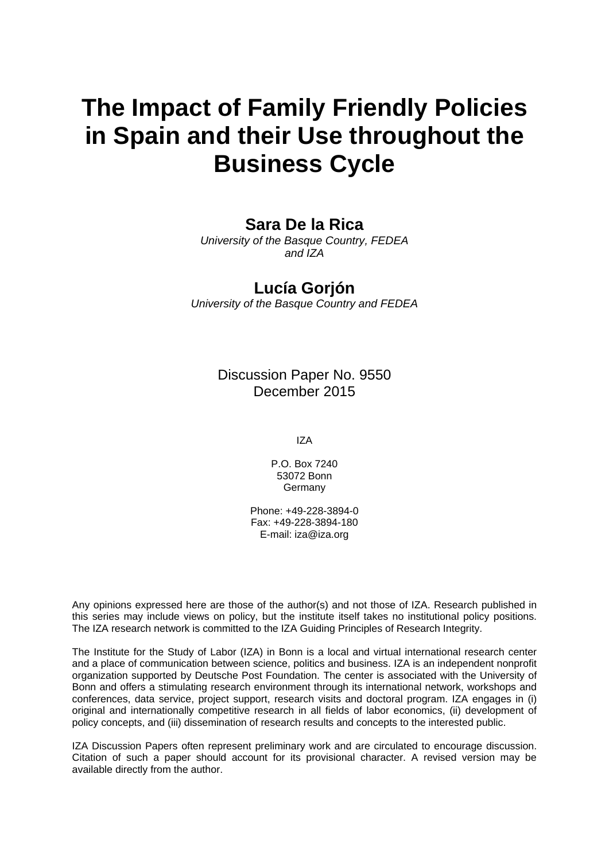# **The Impact of Family Friendly Policies in Spain and their Use throughout the Business Cycle**

# **Sara De la Rica**

*University of the Basque Country, FEDEA and IZA* 

# **Lucía Gorjón**

*University of the Basque Country and FEDEA* 

Discussion Paper No. 9550 December 2015

IZA

P.O. Box 7240 53072 Bonn **Germany** 

Phone: +49-228-3894-0 Fax: +49-228-3894-180 E-mail: iza@iza.org

Any opinions expressed here are those of the author(s) and not those of IZA. Research published in this series may include views on policy, but the institute itself takes no institutional policy positions. The IZA research network is committed to the IZA Guiding Principles of Research Integrity.

The Institute for the Study of Labor (IZA) in Bonn is a local and virtual international research center and a place of communication between science, politics and business. IZA is an independent nonprofit organization supported by Deutsche Post Foundation. The center is associated with the University of Bonn and offers a stimulating research environment through its international network, workshops and conferences, data service, project support, research visits and doctoral program. IZA engages in (i) original and internationally competitive research in all fields of labor economics, (ii) development of policy concepts, and (iii) dissemination of research results and concepts to the interested public.

IZA Discussion Papers often represent preliminary work and are circulated to encourage discussion. Citation of such a paper should account for its provisional character. A revised version may be available directly from the author.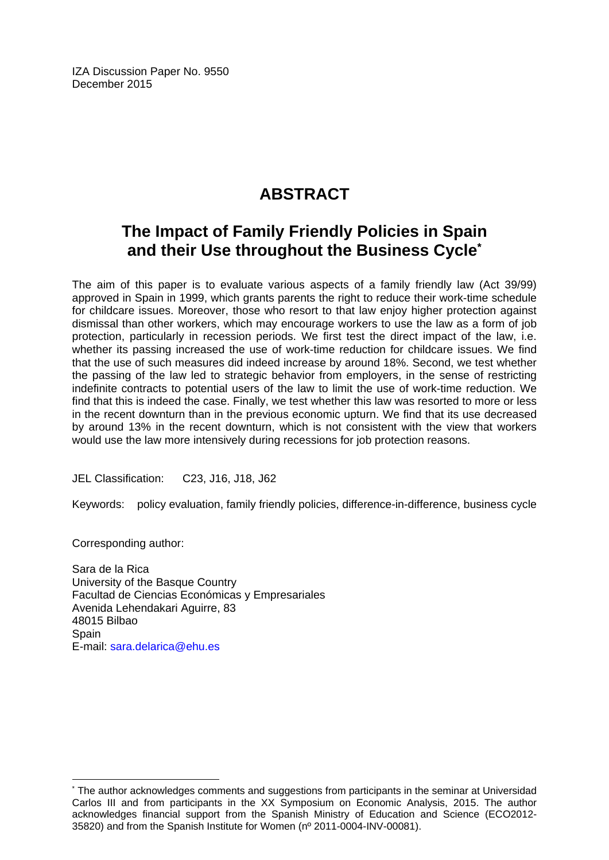IZA Discussion Paper No. 9550 December 2015

# **ABSTRACT**

# **The Impact of Family Friendly Policies in Spain and their Use throughout the Business Cycle\***

The aim of this paper is to evaluate various aspects of a family friendly law (Act 39/99) approved in Spain in 1999, which grants parents the right to reduce their work-time schedule for childcare issues. Moreover, those who resort to that law enjoy higher protection against dismissal than other workers, which may encourage workers to use the law as a form of job protection, particularly in recession periods. We first test the direct impact of the law, i.e. whether its passing increased the use of work-time reduction for childcare issues. We find that the use of such measures did indeed increase by around 18%. Second, we test whether the passing of the law led to strategic behavior from employers, in the sense of restricting indefinite contracts to potential users of the law to limit the use of work-time reduction. We find that this is indeed the case. Finally, we test whether this law was resorted to more or less in the recent downturn than in the previous economic upturn. We find that its use decreased by around 13% in the recent downturn, which is not consistent with the view that workers would use the law more intensively during recessions for job protection reasons.

JEL Classification: C23, J16, J18, J62

Keywords: policy evaluation, family friendly policies, difference-in-difference, business cycle

Corresponding author:

 $\overline{a}$ 

Sara de la Rica University of the Basque Country Facultad de Ciencias Económicas y Empresariales Avenida Lehendakari Aguirre, 83 48015 Bilbao **Spain** E-mail: sara.delarica@ehu.es

<sup>\*</sup> The author acknowledges comments and suggestions from participants in the seminar at Universidad Carlos III and from participants in the XX Symposium on Economic Analysis, 2015. The author acknowledges financial support from the Spanish Ministry of Education and Science (ECO2012- 35820) and from the Spanish Institute for Women (nº 2011-0004-INV-00081).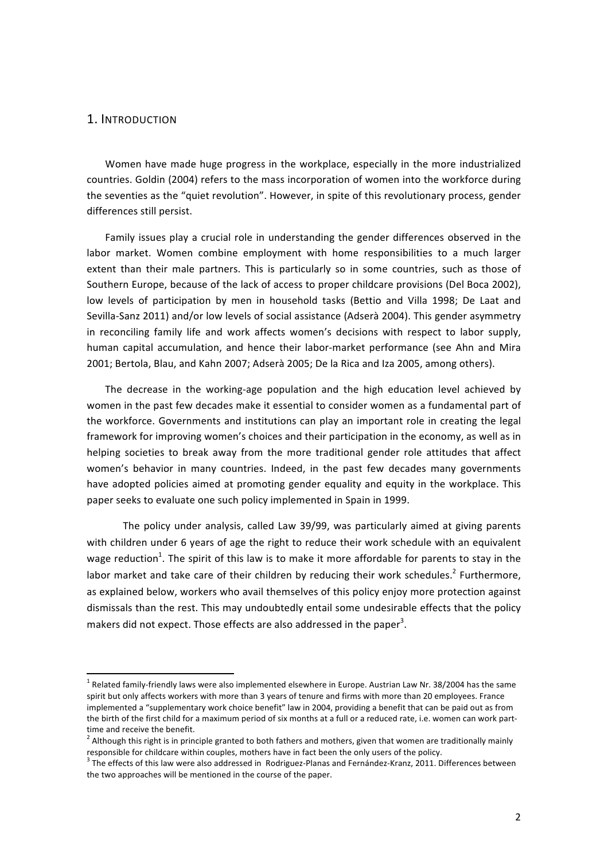# 1. INTRODUCTION

Women have made huge progress in the workplace, especially in the more industrialized countries. Goldin (2004) refers to the mass incorporation of women into the workforce during the seventies as the "quiet revolution". However, in spite of this revolutionary process, gender differences still persist.

Family issues play a crucial role in understanding the gender differences observed in the labor market. Women combine employment with home responsibilities to a much larger extent than their male partners. This is particularly so in some countries, such as those of Southern Europe, because of the lack of access to proper childcare provisions (Del Boca 2002), low levels of participation by men in household tasks (Bettio and Villa 1998; De Laat and Sevilla-Sanz 2011) and/or low levels of social assistance (Adserà 2004). This gender asymmetry in reconciling family life and work affects women's decisions with respect to labor supply, human capital accumulation, and hence their labor-market performance (see Ahn and Mira 2001; Bertola, Blau, and Kahn 2007; Adserà 2005; De la Rica and Iza 2005, among others).

The decrease in the working-age population and the high education level achieved by women in the past few decades make it essential to consider women as a fundamental part of the workforce. Governments and institutions can play an important role in creating the legal framework for improving women's choices and their participation in the economy, as well as in helping societies to break away from the more traditional gender role attitudes that affect women's behavior in many countries. Indeed, in the past few decades many governments have adopted policies aimed at promoting gender equality and equity in the workplace. This paper seeks to evaluate one such policy implemented in Spain in 1999.

The policy under analysis, called Law 39/99, was particularly aimed at giving parents with children under 6 years of age the right to reduce their work schedule with an equivalent wage reduction<sup>1</sup>. The spirit of this law is to make it more affordable for parents to stay in the labor market and take care of their children by reducing their work schedules.<sup>2</sup> Furthermore, as explained below, workers who avail themselves of this policy enjoy more protection against dismissals than the rest. This may undoubtedly entail some undesirable effects that the policy makers did not expect. Those effects are also addressed in the paper<sup>3</sup>.

 $1$  Related family-friendly laws were also implemented elsewhere in Europe. Austrian Law Nr. 38/2004 has the same spirit but only affects workers with more than 3 years of tenure and firms with more than 20 employees. France implemented a "supplementary work choice benefit" law in 2004, providing a benefit that can be paid out as from the birth of the first child for a maximum period of six months at a full or a reduced rate, i.e. women can work parttime and receive the benefit.

 $^2$  Although this right is in principle granted to both fathers and mothers, given that women are traditionally mainly responsible for childcare within couples, mothers have in fact been the only users of the policy.

 $3$  The effects of this law were also addressed in Rodriguez-Planas and Fernández-Kranz, 2011. Differences between the two approaches will be mentioned in the course of the paper.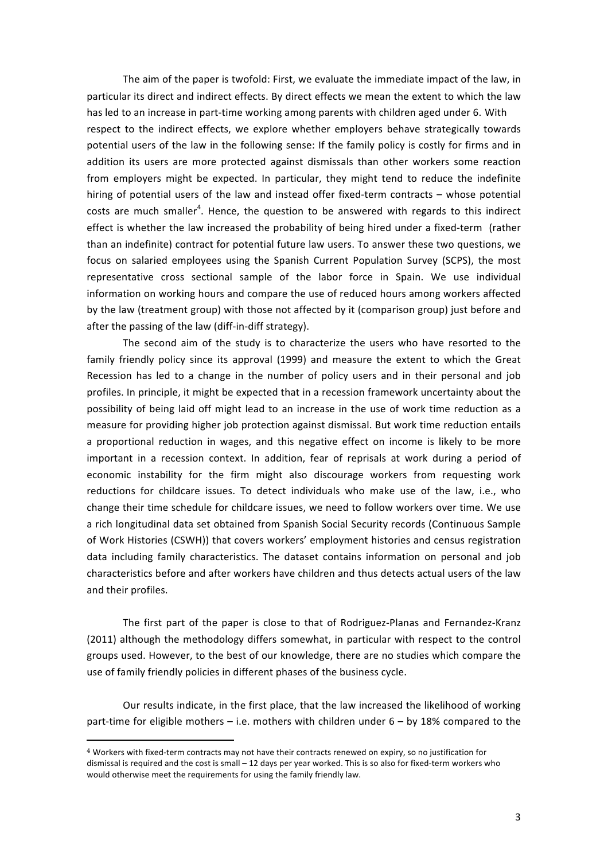The aim of the paper is twofold: First, we evaluate the immediate impact of the law, in particular its direct and indirect effects. By direct effects we mean the extent to which the law has led to an increase in part-time working among parents with children aged under 6. With respect to the indirect effects, we explore whether employers behave strategically towards potential users of the law in the following sense: If the family policy is costly for firms and in addition its users are more protected against dismissals than other workers some reaction from employers might be expected. In particular, they might tend to reduce the indefinite hiring of potential users of the law and instead offer fixed-term contracts - whose potential costs are much smaller<sup>4</sup>. Hence, the question to be answered with regards to this indirect effect is whether the law increased the probability of being hired under a fixed-term (rather than an indefinite) contract for potential future law users. To answer these two questions, we focus on salaried employees using the Spanish Current Population Survey (SCPS), the most representative cross sectional sample of the labor force in Spain. We use individual information on working hours and compare the use of reduced hours among workers affected by the law (treatment group) with those not affected by it (comparison group) just before and after the passing of the law (diff-in-diff strategy).

The second aim of the study is to characterize the users who have resorted to the family friendly policy since its approval (1999) and measure the extent to which the Great Recession has led to a change in the number of policy users and in their personal and job profiles. In principle, it might be expected that in a recession framework uncertainty about the possibility of being laid off might lead to an increase in the use of work time reduction as a measure for providing higher job protection against dismissal. But work time reduction entails a proportional reduction in wages, and this negative effect on income is likely to be more important in a recession context. In addition, fear of reprisals at work during a period of economic instability for the firm might also discourage workers from requesting work reductions for childcare issues. To detect individuals who make use of the law, i.e., who change their time schedule for childcare issues, we need to follow workers over time. We use a rich longitudinal data set obtained from Spanish Social Security records (Continuous Sample of Work Histories (CSWH)) that covers workers' employment histories and census registration data including family characteristics. The dataset contains information on personal and job characteristics before and after workers have children and thus detects actual users of the law and their profiles.

The first part of the paper is close to that of Rodriguez-Planas and Fernandez-Kranz (2011) although the methodology differs somewhat, in particular with respect to the control groups used. However, to the best of our knowledge, there are no studies which compare the use of family friendly policies in different phases of the business cycle.

Our results indicate, in the first place, that the law increased the likelihood of working part-time for eligible mothers – i.e. mothers with children under  $6 - by$  18% compared to the

<u> 1989 - Jan Samuel Barbara, margaret e</u>

<sup>&</sup>lt;sup>4</sup> Workers with fixed-term contracts may not have their contracts renewed on expiry, so no justification for dismissal is required and the cost is small - 12 days per year worked. This is so also for fixed-term workers who would otherwise meet the requirements for using the family friendly law.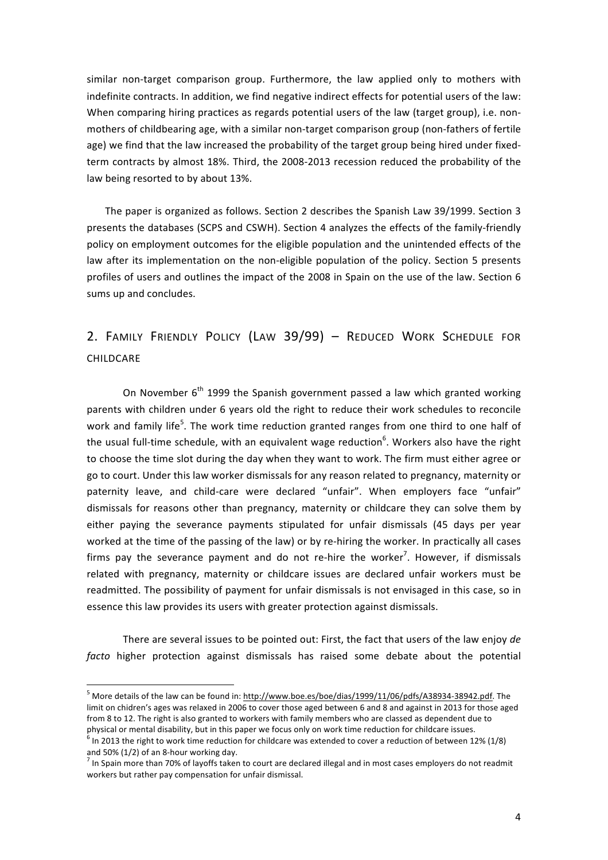similar non-target comparison group. Furthermore, the law applied only to mothers with indefinite contracts. In addition, we find negative indirect effects for potential users of the law: When comparing hiring practices as regards potential users of the law (target group), i.e. nonmothers of childbearing age, with a similar non-target comparison group (non-fathers of fertile age) we find that the law increased the probability of the target group being hired under fixedterm contracts by almost 18%. Third, the 2008-2013 recession reduced the probability of the law being resorted to by about 13%.

The paper is organized as follows. Section 2 describes the Spanish Law 39/1999. Section 3 presents the databases (SCPS and CSWH). Section 4 analyzes the effects of the family-friendly policy on employment outcomes for the eligible population and the unintended effects of the law after its implementation on the non-eligible population of the policy. Section 5 presents profiles of users and outlines the impact of the 2008 in Spain on the use of the law. Section 6 sums up and concludes.

# 2. FAMILY FRIENDLY POLICY (LAW 39/99) - REDUCED WORK SCHEDULE FOR CHILDCARE

On November  $6<sup>th</sup>$  1999 the Spanish government passed a law which granted working parents with children under 6 years old the right to reduce their work schedules to reconcile work and family life<sup>5</sup>. The work time reduction granted ranges from one third to one half of the usual full-time schedule, with an equivalent wage reduction<sup>6</sup>. Workers also have the right to choose the time slot during the day when they want to work. The firm must either agree or go to court. Under this law worker dismissals for any reason related to pregnancy, maternity or paternity leave, and child-care were declared "unfair". When employers face "unfair" dismissals for reasons other than pregnancy, maternity or childcare they can solve them by either paying the severance payments stipulated for unfair dismissals (45 days per year worked at the time of the passing of the law) or by re-hiring the worker. In practically all cases firms pay the severance payment and do not re-hire the worker<sup>7</sup>. However, if dismissals related with pregnancy, maternity or childcare issues are declared unfair workers must be readmitted. The possibility of payment for unfair dismissals is not envisaged in this case, so in essence this law provides its users with greater protection against dismissals.

There are several issues to be pointed out: First, the fact that users of the law enjoy de *facto* higher protection against dismissals has raised some debate about the potential

<sup>&</sup>lt;sup>5</sup> More details of the law can be found in: http://www.boe.es/boe/dias/1999/11/06/pdfs/A38934-38942.pdf. The limit on chidren's ages was relaxed in 2006 to cover those aged between 6 and 8 and against in 2013 for those aged from 8 to 12. The right is also granted to workers with family members who are classed as dependent due to physical or mental disability, but in this paper we focus only on work time reduction for childcare issues.<br>
In 2013 the right to work time reduction for childcare was extended to cover a reduction of between 12% (1/8)

and 50% (1/2) of an 8-hour working day.<br><sup>7</sup> In Spain more than 70% of layoffs taken to court are declared illegal and in most cases employers do not readmit

workers but rather pay compensation for unfair dismissal.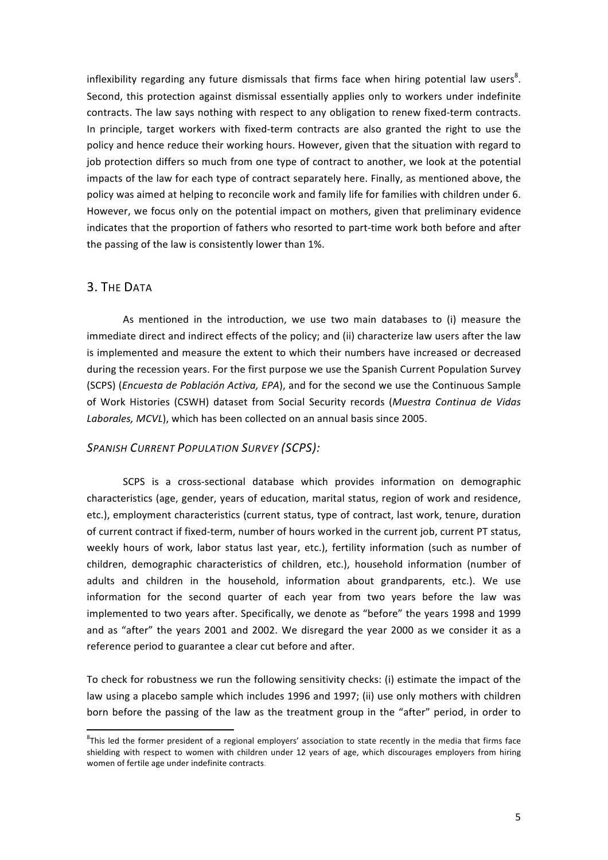inflexibility regarding any future dismissals that firms face when hiring potential law users<sup>8</sup>. Second, this protection against dismissal essentially applies only to workers under indefinite contracts. The law says nothing with respect to any obligation to renew fixed-term contracts. In principle, target workers with fixed-term contracts are also granted the right to use the policy and hence reduce their working hours. However, given that the situation with regard to job protection differs so much from one type of contract to another, we look at the potential impacts of the law for each type of contract separately here. Finally, as mentioned above, the policy was aimed at helping to reconcile work and family life for families with children under 6. However, we focus only on the potential impact on mothers, given that preliminary evidence indicates that the proportion of fathers who resorted to part-time work both before and after the passing of the law is consistently lower than 1%.

# 3. THE DATA

As mentioned in the introduction, we use two main databases to (i) measure the immediate direct and indirect effects of the policy; and (ii) characterize law users after the law is implemented and measure the extent to which their numbers have increased or decreased during the recession years. For the first purpose we use the Spanish Current Population Survey (SCPS) (*Encuesta de Población Activa, EPA*), and for the second we use the Continuous Sample of Work Histories (CSWH) dataset from Social Security records (Muestra Continua de Vidas Laborales, MCVL), which has been collected on an annual basis since 2005.

#### **SPANISH CURRENT POPULATION SURVEY (SCPS):**

SCPS is a cross-sectional database which provides information on demographic characteristics (age, gender, years of education, marital status, region of work and residence, etc.), employment characteristics (current status, type of contract, last work, tenure, duration of current contract if fixed-term, number of hours worked in the current job, current PT status, weekly hours of work, labor status last year, etc.), fertility information (such as number of children, demographic characteristics of children, etc.), household information (number of adults and children in the household, information about grandparents, etc.). We use information for the second quarter of each year from two years before the law was implemented to two years after. Specifically, we denote as "before" the years 1998 and 1999 and as "after" the years 2001 and 2002. We disregard the year 2000 as we consider it as a reference period to guarantee a clear cut before and after.

To check for robustness we run the following sensitivity checks: (i) estimate the impact of the law using a placebo sample which includes 1996 and 1997; (ii) use only mothers with children born before the passing of the law as the treatment group in the "after" period, in order to

 $^8$ This led the former president of a regional employers' association to state recently in the media that firms face shielding with respect to women with children under 12 years of age, which discourages employers from hiring women of fertile age under indefinite contracts.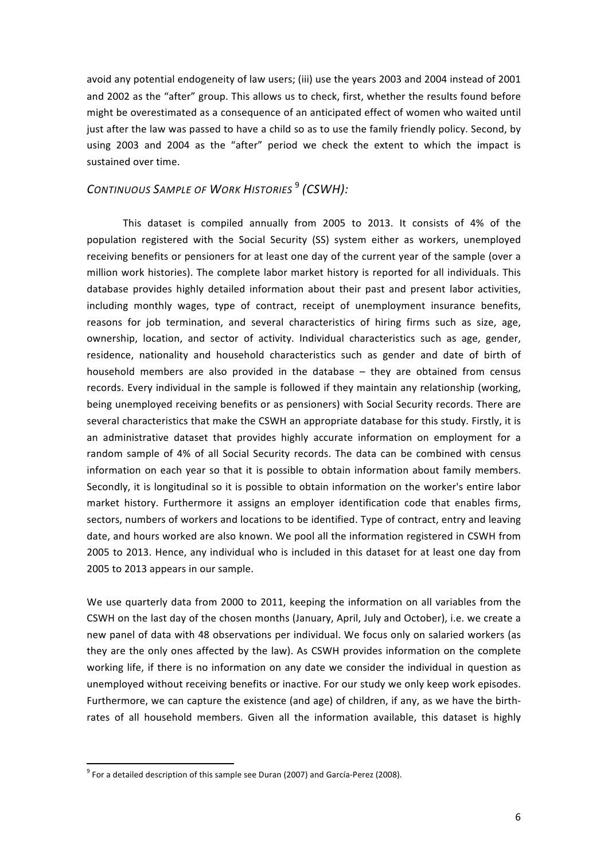avoid any potential endogeneity of law users; (iii) use the years 2003 and 2004 instead of 2001 and 2002 as the "after" group. This allows us to check, first, whether the results found before might be overestimated as a consequence of an anticipated effect of women who waited until just after the law was passed to have a child so as to use the family friendly policy. Second, by using 2003 and 2004 as the "after" period we check the extent to which the impact is sustained over time.

# *CONTINUOUS SAMPLE OF WORK HISTORIES* <sup>9</sup> *(CSWH):*

This dataset is compiled annually from 2005 to 2013. It consists of 4% of the population registered with the Social Security (SS) system either as workers, unemployed receiving benefits or pensioners for at least one day of the current year of the sample (over a million work histories). The complete labor market history is reported for all individuals. This database provides highly detailed information about their past and present labor activities, including monthly wages, type of contract, receipt of unemployment insurance benefits, reasons for job termination, and several characteristics of hiring firms such as size, age, ownership, location, and sector of activity. Individual characteristics such as age, gender, residence, nationality and household characteristics such as gender and date of birth of household members are also provided in the database  $-$  they are obtained from census records. Every individual in the sample is followed if they maintain any relationship (working, being unemployed receiving benefits or as pensioners) with Social Security records. There are several characteristics that make the CSWH an appropriate database for this study. Firstly, it is an administrative dataset that provides highly accurate information on employment for a random sample of 4% of all Social Security records. The data can be combined with census information on each year so that it is possible to obtain information about family members. Secondly, it is longitudinal so it is possible to obtain information on the worker's entire labor market history. Furthermore it assigns an employer identification code that enables firms, sectors, numbers of workers and locations to be identified. Type of contract, entry and leaving date, and hours worked are also known. We pool all the information registered in CSWH from 2005 to 2013. Hence, any individual who is included in this dataset for at least one day from 2005 to 2013 appears in our sample.

We use quarterly data from 2000 to 2011, keeping the information on all variables from the CSWH on the last day of the chosen months (January, April, July and October), i.e. we create a new panel of data with 48 observations per individual. We focus only on salaried workers (as they are the only ones affected by the law). As CSWH provides information on the complete working life, if there is no information on any date we consider the individual in question as unemployed without receiving benefits or inactive. For our study we only keep work episodes. Furthermore, we can capture the existence (and age) of children, if any, as we have the birthrates of all household members. Given all the information available, this dataset is highly

 $^9$  For a detailed description of this sample see Duran (2007) and García-Perez (2008).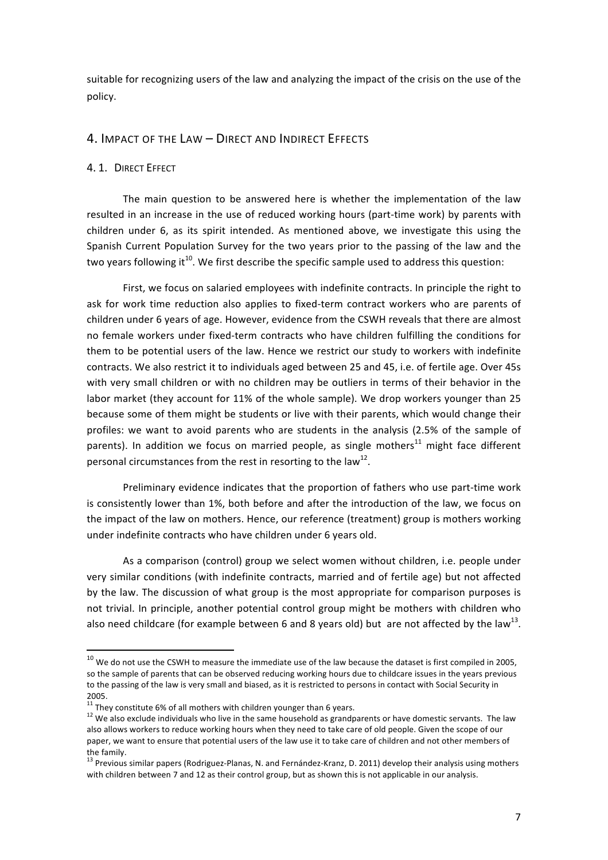suitable for recognizing users of the law and analyzing the impact of the crisis on the use of the policy. 

## 4. IMPACT OF THE LAW – DIRECT AND INDIRECT EFFECTS

### 4.1. DIRECT FEFFCT

The main question to be answered here is whether the implementation of the law resulted in an increase in the use of reduced working hours (part-time work) by parents with children under 6, as its spirit intended. As mentioned above, we investigate this using the Spanish Current Population Survey for the two years prior to the passing of the law and the two years following it<sup>10</sup>. We first describe the specific sample used to address this question:

First, we focus on salaried employees with indefinite contracts. In principle the right to ask for work time reduction also applies to fixed-term contract workers who are parents of children under 6 years of age. However, evidence from the CSWH reveals that there are almost no female workers under fixed-term contracts who have children fulfilling the conditions for them to be potential users of the law. Hence we restrict our study to workers with indefinite contracts. We also restrict it to individuals aged between 25 and 45, i.e. of fertile age. Over 45s with very small children or with no children may be outliers in terms of their behavior in the labor market (they account for 11% of the whole sample). We drop workers younger than 25 because some of them might be students or live with their parents, which would change their profiles: we want to avoid parents who are students in the analysis (2.5% of the sample of parents). In addition we focus on married people, as single mothers<sup>11</sup> might face different personal circumstances from the rest in resorting to the law<sup>12</sup>.

Preliminary evidence indicates that the proportion of fathers who use part-time work is consistently lower than 1%, both before and after the introduction of the law, we focus on the impact of the law on mothers. Hence, our reference (treatment) group is mothers working under indefinite contracts who have children under 6 years old.

As a comparison (control) group we select women without children, i.e. people under very similar conditions (with indefinite contracts, married and of fertile age) but not affected by the law. The discussion of what group is the most appropriate for comparison purposes is not trivial. In principle, another potential control group might be mothers with children who also need childcare (for example between 6 and 8 years old) but are not affected by the law<sup>13</sup>.

<u> 1989 - Jan Samuel Barbara, margaret e</u>

 $^{10}$  We do not use the CSWH to measure the immediate use of the law because the dataset is first compiled in 2005, so the sample of parents that can be observed reducing working hours due to childcare issues in the years previous to the passing of the law is very small and biased, as it is restricted to persons in contact with Social Security in

<sup>2005.&</sup>lt;br><sup>11</sup> They constitute 6% of all mothers with children younger than 6 years.<br><sup>12</sup> We also exclude individuals who live in the same household as grandparents or have domestic servants. The law also allows workers to reduce working hours when they need to take care of old people. Given the scope of our paper, we want to ensure that potential users of the law use it to take care of children and not other members of the family.

 $^{13}$  Previous similar papers (Rodriguez-Planas, N. and Fernández-Kranz, D. 2011) develop their analysis using mothers with children between 7 and 12 as their control group, but as shown this is not applicable in our analysis.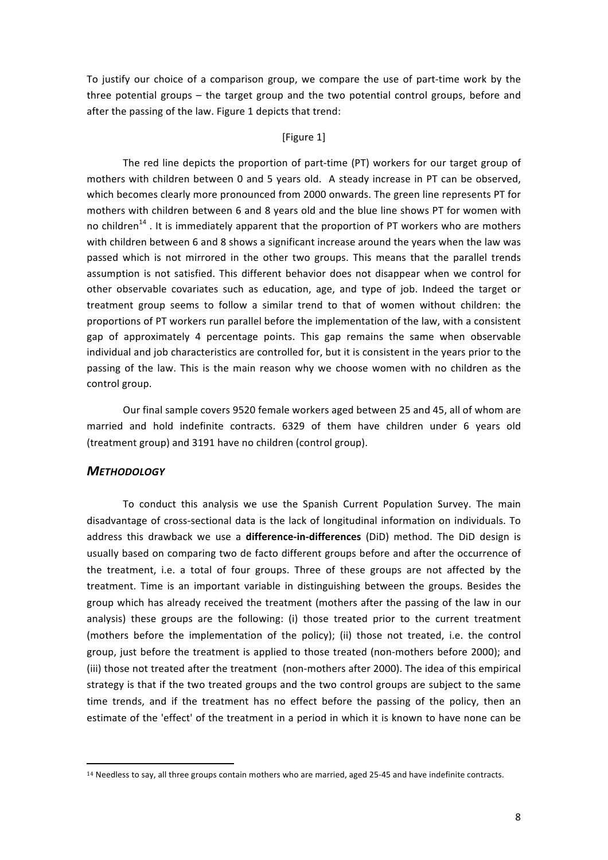To justify our choice of a comparison group, we compare the use of part-time work by the three potential groups  $-$  the target group and the two potential control groups, before and after the passing of the law. Figure 1 depicts that trend:

#### [Figure 1]

The red line depicts the proportion of part-time  $(PT)$  workers for our target group of mothers with children between 0 and 5 years old. A steady increase in PT can be observed, which becomes clearly more pronounced from 2000 onwards. The green line represents PT for mothers with children between 6 and 8 years old and the blue line shows PT for women with no children<sup>14</sup>. It is immediately apparent that the proportion of PT workers who are mothers with children between 6 and 8 shows a significant increase around the years when the law was passed which is not mirrored in the other two groups. This means that the parallel trends assumption is not satisfied. This different behavior does not disappear when we control for other observable covariates such as education, age, and type of job. Indeed the target or treatment group seems to follow a similar trend to that of women without children: the proportions of PT workers run parallel before the implementation of the law, with a consistent gap of approximately 4 percentage points. This gap remains the same when observable individual and job characteristics are controlled for, but it is consistent in the years prior to the passing of the law. This is the main reason why we choose women with no children as the control group.

Our final sample covers 9520 female workers aged between 25 and 45, all of whom are married and hold indefinite contracts. 6329 of them have children under 6 years old (treatment group) and 3191 have no children (control group).

## *METHODOLOGY*

 

To conduct this analysis we use the Spanish Current Population Survey. The main disadvantage of cross-sectional data is the lack of longitudinal information on individuals. To address this drawback we use a difference-in-differences (DiD) method. The DiD design is usually based on comparing two de facto different groups before and after the occurrence of the treatment, i.e. a total of four groups. Three of these groups are not affected by the treatment. Time is an important variable in distinguishing between the groups. Besides the group which has already received the treatment (mothers after the passing of the law in our analysis) these groups are the following: (i) those treated prior to the current treatment (mothers before the implementation of the policy); (ii) those not treated, i.e. the control group, just before the treatment is applied to those treated (non-mothers before 2000); and (iii) those not treated after the treatment (non-mothers after 2000). The idea of this empirical strategy is that if the two treated groups and the two control groups are subject to the same time trends, and if the treatment has no effect before the passing of the policy, then an estimate of the 'effect' of the treatment in a period in which it is known to have none can be

 $14$  Needless to say, all three groups contain mothers who are married, aged 25-45 and have indefinite contracts.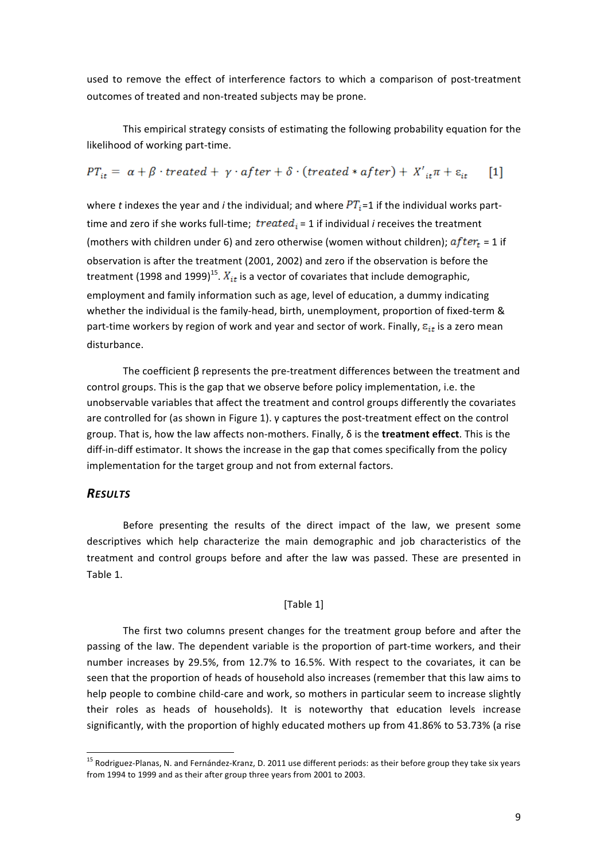used to remove the effect of interference factors to which a comparison of post-treatment outcomes of treated and non-treated subjects may be prone.

This empirical strategy consists of estimating the following probability equation for the likelihood of working part-time.

$$
PT_{it} = \alpha + \beta \cdot treated + \gamma \cdot affect + \delta \cdot (treated * after) + X'_{it} \pi + \varepsilon_{it} \qquad [1]
$$

where *t* indexes the year and *i* the individual; and where  $PT_i=1$  if the individual works parttime and zero if she works full-time;  $treated_i = 1$  if individual *i* receives the treatment (mothers with children under 6) and zero otherwise (women without children);  $after_t = 1$  if observation is after the treatment (2001, 2002) and zero if the observation is before the treatment (1998 and 1999)<sup>15</sup>.  $X_{it}$  is a vector of covariates that include demographic, employment and family information such as age, level of education, a dummy indicating whether the individual is the family-head, birth, unemployment, proportion of fixed-term & part-time workers by region of work and year and sector of work. Finally,  $\varepsilon_{it}$  is a zero mean disturbance.

The coefficient  $\beta$  represents the pre-treatment differences between the treatment and control groups. This is the gap that we observe before policy implementation, i.e. the unobservable variables that affect the treatment and control groups differently the covariates are controlled for (as shown in Figure 1).  $\gamma$  captures the post-treatment effect on the control group. That is, how the law affects non-mothers. Finally, δ is the **treatment effect**. This is the diff-in-diff estimator. It shows the increase in the gap that comes specifically from the policy implementation for the target group and not from external factors.

## *RESULTS*

Before presenting the results of the direct impact of the law, we present some descriptives which help characterize the main demographic and job characteristics of the treatment and control groups before and after the law was passed. These are presented in Table 1.

#### [Table 1]

The first two columns present changes for the treatment group before and after the passing of the law. The dependent variable is the proportion of part-time workers, and their number increases by 29.5%, from 12.7% to 16.5%. With respect to the covariates, it can be seen that the proportion of heads of household also increases (remember that this law aims to help people to combine child-care and work, so mothers in particular seem to increase slightly their roles as heads of households). It is noteworthy that education levels increase significantly, with the proportion of highly educated mothers up from 41.86% to 53.73% (a rise

 $15$  Rodriguez-Planas, N. and Fernández-Kranz, D. 2011 use different periods: as their before group they take six years from 1994 to 1999 and as their after group three years from 2001 to 2003.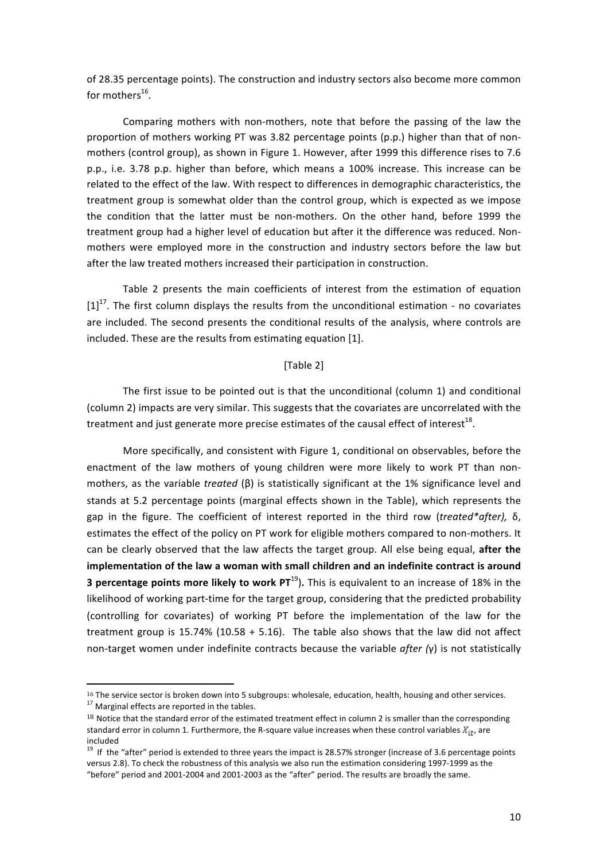of 28.35 percentage points). The construction and industry sectors also become more common for mothers $^{16}$ .

Comparing mothers with non-mothers, note that before the passing of the law the proportion of mothers working PT was 3.82 percentage points  $(p.p.)$  higher than that of nonmothers (control group), as shown in Figure 1. However, after 1999 this difference rises to 7.6 p.p., i.e. 3.78 p.p. higher than before, which means a 100% increase. This increase can be related to the effect of the law. With respect to differences in demographic characteristics, the treatment group is somewhat older than the control group, which is expected as we impose the condition that the latter must be non-mothers. On the other hand, before 1999 the treatment group had a higher level of education but after it the difference was reduced. Nonmothers were employed more in the construction and industry sectors before the law but after the law treated mothers increased their participation in construction.

Table 2 presents the main coefficients of interest from the estimation of equation  $\left[1\right]^{17}$ . The first column displays the results from the unconditional estimation - no covariates are included. The second presents the conditional results of the analysis, where controls are included. These are the results from estimating equation [1].

## [Table 2]

The first issue to be pointed out is that the unconditional (column 1) and conditional (column 2) impacts are very similar. This suggests that the covariates are uncorrelated with the treatment and just generate more precise estimates of the causal effect of interest<sup>18</sup>.

More specifically, and consistent with Figure 1, conditional on observables, before the enactment of the law mothers of young children were more likely to work PT than nonmothers, as the variable *treated* (β) is statistically significant at the 1% significance level and stands at 5.2 percentage points (marginal effects shown in the Table), which represents the gap in the figure. The coefficient of interest reported in the third row (*treated\*after*), δ, estimates the effect of the policy on PT work for eligible mothers compared to non-mothers. It can be clearly observed that the law affects the target group. All else being equal, after the implementation of the law a woman with small children and an indefinite contract is around **3** percentage points more likely to work PT<sup>19</sup>). This is equivalent to an increase of 18% in the likelihood of working part-time for the target group, considering that the predicted probability (controlling for covariates) of working PT before the implementation of the law for the treatment group is  $15.74\%$  (10.58 + 5.16). The table also shows that the law did not affect non-target women under indefinite contracts because the variable *after (γ)* is not statistically

 

<sup>&</sup>lt;sup>16</sup> The service sector is broken down into 5 subgroups: wholesale, education, health, housing and other services. <sup>17</sup> Marginal effects are reported in the tables.

 $18$  Notice that the standard error of the estimated treatment effect in column 2 is smaller than the corresponding standard error in column 1. Furthermore, the R-square value increases when these control variables  $X_{it}$ , are included

<sup>&</sup>lt;sup>19</sup> If the "after" period is extended to three years the impact is 28.57% stronger (increase of 3.6 percentage points versus 2.8). To check the robustness of this analysis we also run the estimation considering 1997-1999 as the "before" period and 2001-2004 and 2001-2003 as the "after" period. The results are broadly the same.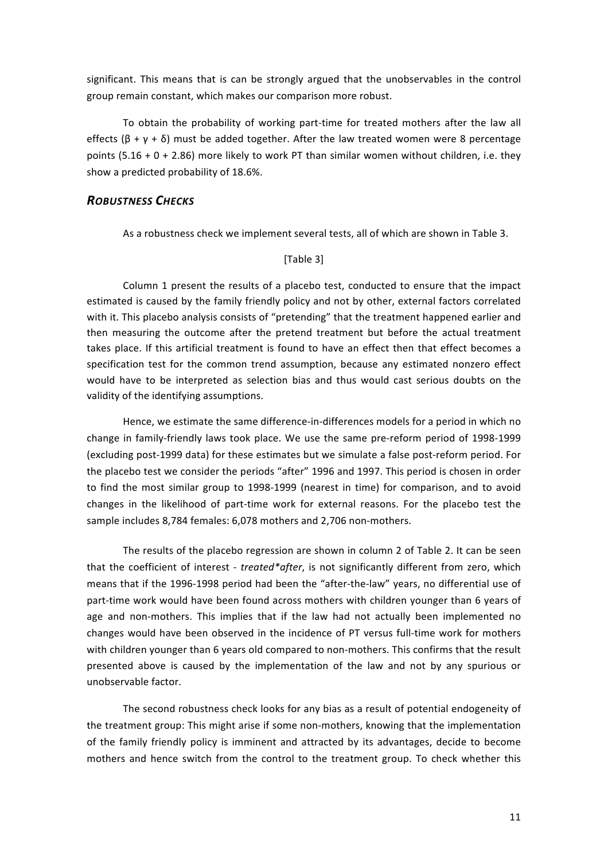significant. This means that is can be strongly argued that the unobservables in the control group remain constant, which makes our comparison more robust.

To obtain the probability of working part-time for treated mothers after the law all effects  $(\beta + \gamma + \delta)$  must be added together. After the law treated women were 8 percentage points  $(5.16 + 0 + 2.86)$  more likely to work PT than similar women without children, i.e. they show a predicted probability of 18.6%.

## *ROBUSTNESS CHECKS*

As a robustness check we implement several tests, all of which are shown in Table 3.

### [Table 3]

Column 1 present the results of a placebo test, conducted to ensure that the impact estimated is caused by the family friendly policy and not by other, external factors correlated with it. This placebo analysis consists of "pretending" that the treatment happened earlier and then measuring the outcome after the pretend treatment but before the actual treatment takes place. If this artificial treatment is found to have an effect then that effect becomes a specification test for the common trend assumption, because any estimated nonzero effect would have to be interpreted as selection bias and thus would cast serious doubts on the validity of the identifying assumptions.

Hence, we estimate the same difference-in-differences models for a period in which no change in family-friendly laws took place. We use the same pre-reform period of 1998-1999 (excluding post-1999 data) for these estimates but we simulate a false post-reform period. For the placebo test we consider the periods "after" 1996 and 1997. This period is chosen in order to find the most similar group to 1998-1999 (nearest in time) for comparison, and to avoid changes in the likelihood of part-time work for external reasons. For the placebo test the sample includes 8.784 females: 6.078 mothers and 2.706 non-mothers.

The results of the placebo regression are shown in column 2 of Table 2. It can be seen that the coefficient of interest - *treated\*after*, is not significantly different from zero, which means that if the 1996-1998 period had been the "after-the-law" years, no differential use of part-time work would have been found across mothers with children younger than 6 years of age and non-mothers. This implies that if the law had not actually been implemented no changes would have been observed in the incidence of PT versus full-time work for mothers with children younger than 6 years old compared to non-mothers. This confirms that the result presented above is caused by the implementation of the law and not by any spurious or unobservable factor.

The second robustness check looks for any bias as a result of potential endogeneity of the treatment group: This might arise if some non-mothers, knowing that the implementation of the family friendly policy is imminent and attracted by its advantages, decide to become mothers and hence switch from the control to the treatment group. To check whether this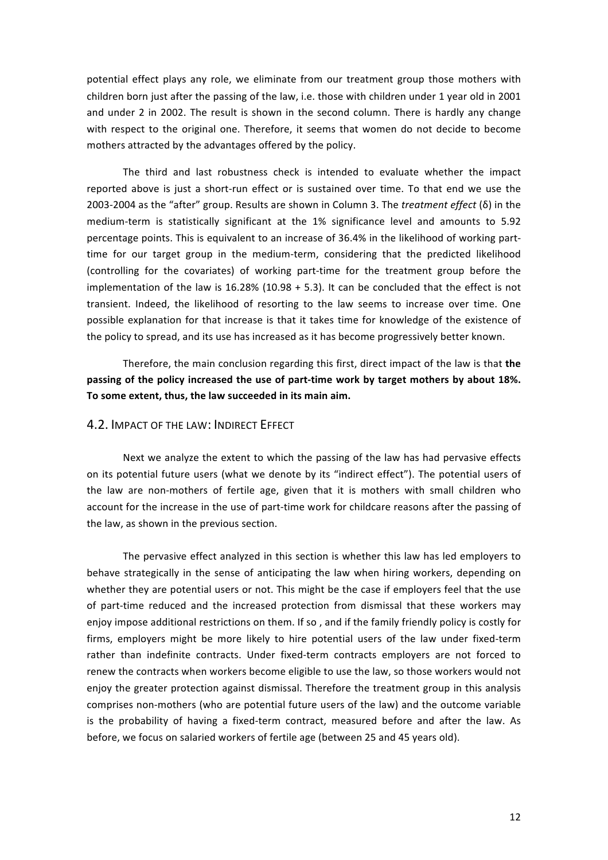potential effect plays any role, we eliminate from our treatment group those mothers with children born just after the passing of the law, i.e. those with children under 1 year old in 2001 and under 2 in 2002. The result is shown in the second column. There is hardly any change with respect to the original one. Therefore, it seems that women do not decide to become mothers attracted by the advantages offered by the policy.

The third and last robustness check is intended to evaluate whether the impact reported above is just a short-run effect or is sustained over time. To that end we use the 2003-2004 as the "after" group. Results are shown in Column 3. The *treatment effect* ( $\delta$ ) in the medium-term is statistically significant at the 1% significance level and amounts to 5.92 percentage points. This is equivalent to an increase of 36.4% in the likelihood of working parttime for our target group in the medium-term, considering that the predicted likelihood (controlling for the covariates) of working part-time for the treatment group before the implementation of the law is  $16.28\%$  (10.98 + 5.3). It can be concluded that the effect is not transient. Indeed, the likelihood of resorting to the law seems to increase over time. One possible explanation for that increase is that it takes time for knowledge of the existence of the policy to spread, and its use has increased as it has become progressively better known.

Therefore, the main conclusion regarding this first, direct impact of the law is that the passing of the policy increased the use of part-time work by target mothers by about 18%. To some extent, thus, the law succeeded in its main aim.

## 4.2. IMPACT OF THE LAW: INDIRECT FEFECT

Next we analyze the extent to which the passing of the law has had pervasive effects on its potential future users (what we denote by its "indirect effect"). The potential users of the law are non-mothers of fertile age, given that it is mothers with small children who account for the increase in the use of part-time work for childcare reasons after the passing of the law, as shown in the previous section.

The pervasive effect analyzed in this section is whether this law has led employers to behave strategically in the sense of anticipating the law when hiring workers, depending on whether they are potential users or not. This might be the case if employers feel that the use of part-time reduced and the increased protection from dismissal that these workers may enjoy impose additional restrictions on them. If so, and if the family friendly policy is costly for firms, employers might be more likely to hire potential users of the law under fixed-term rather than indefinite contracts. Under fixed-term contracts employers are not forced to renew the contracts when workers become eligible to use the law, so those workers would not enjoy the greater protection against dismissal. Therefore the treatment group in this analysis comprises non-mothers (who are potential future users of the law) and the outcome variable is the probability of having a fixed-term contract, measured before and after the law. As before, we focus on salaried workers of fertile age (between 25 and 45 years old).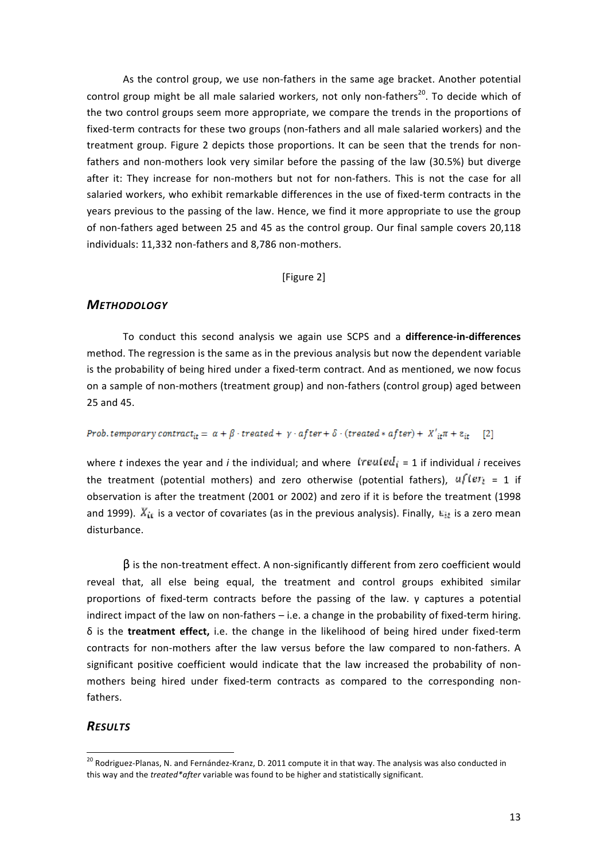As the control group, we use non-fathers in the same age bracket. Another potential control group might be all male salaried workers, not only non-fathers<sup>20</sup>. To decide which of the two control groups seem more appropriate, we compare the trends in the proportions of fixed-term contracts for these two groups (non-fathers and all male salaried workers) and the treatment group. Figure 2 depicts those proportions. It can be seen that the trends for nonfathers and non-mothers look very similar before the passing of the law (30.5%) but diverge after it: They increase for non-mothers but not for non-fathers. This is not the case for all salaried workers, who exhibit remarkable differences in the use of fixed-term contracts in the years previous to the passing of the law. Hence, we find it more appropriate to use the group of non-fathers aged between 25 and 45 as the control group. Our final sample covers 20,118 individuals: 11,332 non-fathers and 8,786 non-mothers.

#### [Figure 2]

### *METHODOLOGY*

To conduct this second analysis we again use SCPS and a difference-in-differences method. The regression is the same as in the previous analysis but now the dependent variable is the probability of being hired under a fixed-term contract. And as mentioned, we now focus on a sample of non-mothers (treatment group) and non-fathers (control group) aged between 25 and 45. 

*Prob. temporary contract*<sub>it</sub> = 
$$
\alpha + \beta
$$
 - treated +  $\gamma$  - after +  $\delta$  - (treated \* after) +  $X'$ <sub>it</sub> $\pi$  +  $\epsilon$ <sub>it</sub> [2]

where *t* indexes the year and *i* the individual; and where  $\int$ ineuted<sub>i</sub> = 1 if individual *i* receives the treatment (potential mothers) and zero otherwise (potential fathers),  $u_i$  (er<sub>i</sub> = 1 if observation is after the treatment (2001 or 2002) and zero if it is before the treatment (1998 and 1999).  $X_{ij}$  is a vector of covariates (as in the previous analysis). Finally,  $\epsilon_{ij}$  is a zero mean disturbance.

 $\beta$  is the non-treatment effect. A non-significantly different from zero coefficient would reveal that, all else being equal, the treatment and control groups exhibited similar proportions of fixed-term contracts before the passing of the law.  $\gamma$  captures a potential indirect impact of the law on non-fathers  $-$  i.e. a change in the probability of fixed-term hiring. δ is the **treatment effect,** i.e. the change in the likelihood of being hired under fixed-term contracts for non-mothers after the law versus before the law compared to non-fathers. A significant positive coefficient would indicate that the law increased the probability of nonmothers being hired under fixed-term contracts as compared to the corresponding nonfathers. 

## *RESULTS*

 $^{20}$  Rodriguez-Planas, N. and Fernández-Kranz, D. 2011 compute it in that way. The analysis was also conducted in this way and the *treated\*after* variable was found to be higher and statistically significant.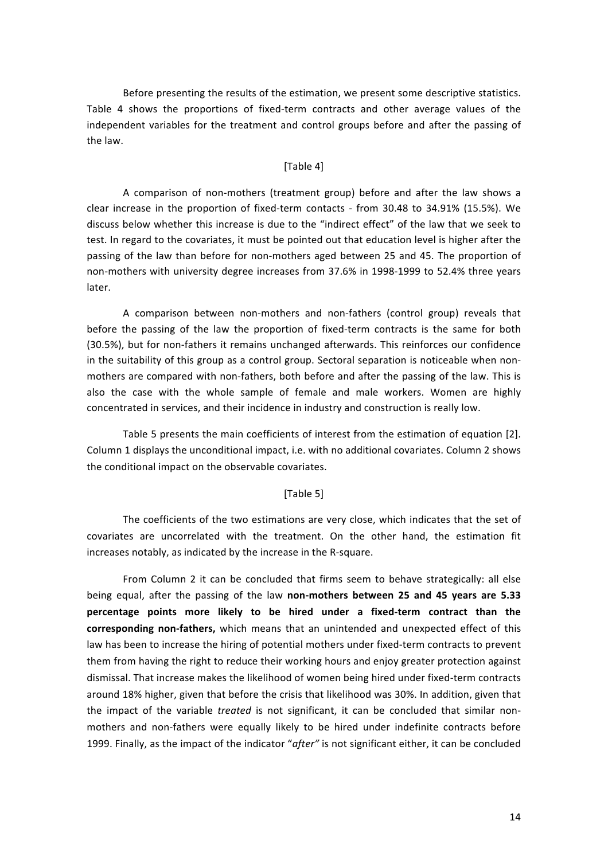Before presenting the results of the estimation, we present some descriptive statistics. Table 4 shows the proportions of fixed-term contracts and other average values of the independent variables for the treatment and control groups before and after the passing of the law.

### [Table 4]

A comparison of non-mothers (treatment group) before and after the law shows a clear increase in the proportion of fixed-term contacts - from 30.48 to 34.91% (15.5%). We discuss below whether this increase is due to the "indirect effect" of the law that we seek to test. In regard to the covariates, it must be pointed out that education level is higher after the passing of the law than before for non-mothers aged between 25 and 45. The proportion of non-mothers with university degree increases from 37.6% in 1998-1999 to 52.4% three years later. 

A comparison between non-mothers and non-fathers (control group) reveals that before the passing of the law the proportion of fixed-term contracts is the same for both (30.5%), but for non-fathers it remains unchanged afterwards. This reinforces our confidence in the suitability of this group as a control group. Sectoral separation is noticeable when nonmothers are compared with non-fathers, both before and after the passing of the law. This is also the case with the whole sample of female and male workers. Women are highly concentrated in services, and their incidence in industry and construction is really low.

Table 5 presents the main coefficients of interest from the estimation of equation [2]. Column 1 displays the unconditional impact, i.e. with no additional covariates. Column 2 shows the conditional impact on the observable covariates.

#### [Table 5]

The coefficients of the two estimations are very close, which indicates that the set of covariates are uncorrelated with the treatment. On the other hand, the estimation fit increases notably, as indicated by the increase in the R-square.

From Column 2 it can be concluded that firms seem to behave strategically: all else being equal, after the passing of the law non-mothers between 25 and 45 years are 5.33 **percentage** points more likely to be hired under a fixed-term contract than the corresponding non-fathers, which means that an unintended and unexpected effect of this law has been to increase the hiring of potential mothers under fixed-term contracts to prevent them from having the right to reduce their working hours and enjoy greater protection against dismissal. That increase makes the likelihood of women being hired under fixed-term contracts around 18% higher, given that before the crisis that likelihood was 30%. In addition, given that the impact of the variable *treated* is not significant, it can be concluded that similar nonmothers and non-fathers were equally likely to be hired under indefinite contracts before 1999. Finally, as the impact of the indicator "after" is not significant either, it can be concluded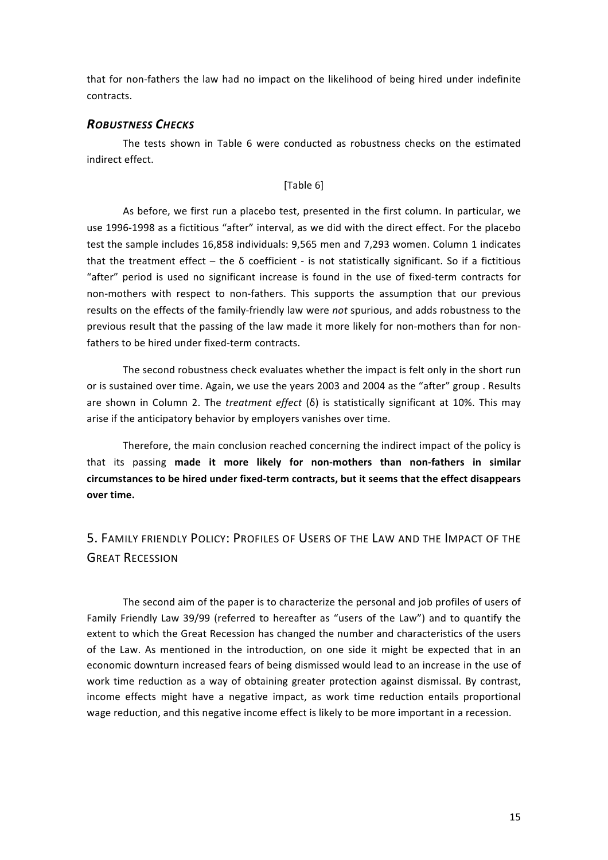that for non-fathers the law had no impact on the likelihood of being hired under indefinite contracts. 

# *ROBUSTNESS CHECKS*

The tests shown in Table 6 were conducted as robustness checks on the estimated indirect effect.

# [Table 6]

As before, we first run a placebo test, presented in the first column. In particular, we use 1996-1998 as a fictitious "after" interval, as we did with the direct effect. For the placebo test the sample includes 16,858 individuals: 9,565 men and 7,293 women. Column 1 indicates that the treatment effect – the  $\delta$  coefficient - is not statistically significant. So if a fictitious "after" period is used no significant increase is found in the use of fixed-term contracts for non-mothers with respect to non-fathers. This supports the assumption that our previous results on the effects of the family-friendly law were *not* spurious, and adds robustness to the previous result that the passing of the law made it more likely for non-mothers than for nonfathers to be hired under fixed-term contracts.

The second robustness check evaluates whether the impact is felt only in the short run or is sustained over time. Again, we use the years 2003 and 2004 as the "after" group . Results are shown in Column 2. The *treatment effect*  $(\delta)$  is statistically significant at 10%. This may arise if the anticipatory behavior by employers vanishes over time.

Therefore, the main conclusion reached concerning the indirect impact of the policy is that its passing made it more likely for non-mothers than non-fathers in similar **circumstances to be hired under fixed-term contracts, but it seems that the effect disappears over time.** 

5. FAMILY FRIENDLY POLICY: PROFILES OF USERS OF THE LAW AND THE IMPACT OF THE GREAT RECESSION

The second aim of the paper is to characterize the personal and job profiles of users of Family Friendly Law 39/99 (referred to hereafter as "users of the Law") and to quantify the extent to which the Great Recession has changed the number and characteristics of the users of the Law. As mentioned in the introduction, on one side it might be expected that in an economic downturn increased fears of being dismissed would lead to an increase in the use of work time reduction as a way of obtaining greater protection against dismissal. By contrast, income effects might have a negative impact, as work time reduction entails proportional wage reduction, and this negative income effect is likely to be more important in a recession.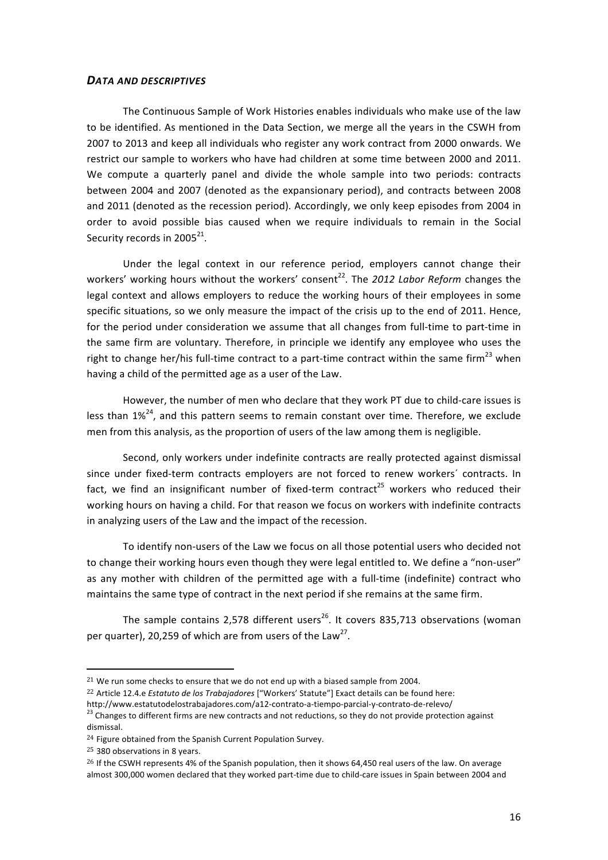## *DATA AND DESCRIPTIVES*

The Continuous Sample of Work Histories enables individuals who make use of the law to be identified. As mentioned in the Data Section, we merge all the years in the CSWH from 2007 to 2013 and keep all individuals who register any work contract from 2000 onwards. We restrict our sample to workers who have had children at some time between 2000 and 2011. We compute a quarterly panel and divide the whole sample into two periods: contracts between 2004 and 2007 (denoted as the expansionary period), and contracts between 2008 and 2011 (denoted as the recession period). Accordingly, we only keep episodes from 2004 in order to avoid possible bias caused when we require individuals to remain in the Social Security records in  $2005^{21}$ .

Under the legal context in our reference period, employers cannot change their workers' working hours without the workers' consent<sup>22</sup>. The 2012 Labor Reform changes the legal context and allows employers to reduce the working hours of their employees in some specific situations, so we only measure the impact of the crisis up to the end of 2011. Hence, for the period under consideration we assume that all changes from full-time to part-time in the same firm are voluntary. Therefore, in principle we identify any employee who uses the right to change her/his full-time contract to a part-time contract within the same firm<sup>23</sup> when having a child of the permitted age as a user of the Law.

However, the number of men who declare that they work PT due to child-care issues is less than  $1\%^{24}$ , and this pattern seems to remain constant over time. Therefore, we exclude men from this analysis, as the proportion of users of the law among them is negligible.

Second, only workers under indefinite contracts are really protected against dismissal since under fixed-term contracts employers are not forced to renew workers' contracts. In fact, we find an insignificant number of fixed-term contract<sup>25</sup> workers who reduced their working hours on having a child. For that reason we focus on workers with indefinite contracts in analyzing users of the Law and the impact of the recession.

To identify non-users of the Law we focus on all those potential users who decided not to change their working hours even though they were legal entitled to. We define a "non-user" as any mother with children of the permitted age with a full-time (indefinite) contract who maintains the same type of contract in the next period if she remains at the same firm.

The sample contains 2,578 different users<sup>26</sup>. It covers 835,713 observations (woman per quarter), 20,259 of which are from users of the Law<sup>27</sup>.

<sup>22</sup> Article 12.4.e *Estatuto de los Trabajadores* ["Workers' Statute"] Exact details can be found here:

 

 $21$  We run some checks to ensure that we do not end up with a biased sample from 2004.

http://www.estatutodelostrabajadores.com/a12-contrato-a-tiempo-parcial-y-contrato-de-relevo/<br><sup>23</sup> Changes to different firms are new contracts and not reductions, so they do not provide protection against

dismissal. 

 $24$  Figure obtained from the Spanish Current Population Survey.

 $25$  380 observations in 8 years.

 $^{26}$  If the CSWH represents 4% of the Spanish population, then it shows 64,450 real users of the law. On average almost 300,000 women declared that they worked part-time due to child-care issues in Spain between 2004 and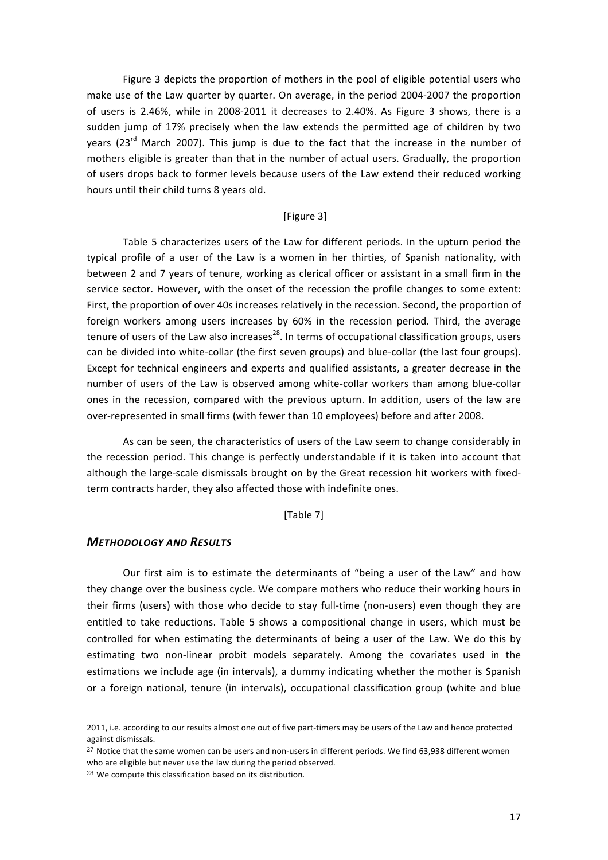Figure 3 depicts the proportion of mothers in the pool of eligible potential users who make use of the Law quarter by quarter. On average, in the period 2004-2007 the proportion of users is 2.46%, while in 2008-2011 it decreases to 2.40%. As Figure 3 shows, there is a sudden jump of 17% precisely when the law extends the permitted age of children by two years (23<sup>rd</sup> March 2007). This jump is due to the fact that the increase in the number of mothers eligible is greater than that in the number of actual users. Gradually, the proportion of users drops back to former levels because users of the Law extend their reduced working hours until their child turns 8 years old.

## [Figure 3]

Table 5 characterizes users of the Law for different periods. In the upturn period the typical profile of a user of the Law is a women in her thirties, of Spanish nationality, with between 2 and 7 years of tenure, working as clerical officer or assistant in a small firm in the service sector. However, with the onset of the recession the profile changes to some extent: First, the proportion of over 40s increases relatively in the recession. Second, the proportion of foreign workers among users increases by 60% in the recession period. Third, the average tenure of users of the Law also increases<sup>28</sup>. In terms of occupational classification groups, users can be divided into white-collar (the first seven groups) and blue-collar (the last four groups). Except for technical engineers and experts and qualified assistants, a greater decrease in the number of users of the Law is observed among white-collar workers than among blue-collar ones in the recession, compared with the previous upturn. In addition, users of the law are over-represented in small firms (with fewer than 10 employees) before and after 2008.

As can be seen, the characteristics of users of the Law seem to change considerably in the recession period. This change is perfectly understandable if it is taken into account that although the large-scale dismissals brought on by the Great recession hit workers with fixedterm contracts harder, they also affected those with indefinite ones.

#### [Table 7]

## *METHODOLOGY AND RESULTS*

Our first aim is to estimate the determinants of "being a user of the Law" and how they change over the business cycle. We compare mothers who reduce their working hours in their firms (users) with those who decide to stay full-time (non-users) even though they are entitled to take reductions. Table 5 shows a compositional change in users, which must be controlled for when estimating the determinants of being a user of the Law. We do this by estimating two non-linear probit models separately. Among the covariates used in the estimations we include age (in intervals), a dummy indicating whether the mother is Spanish or a foreign national, tenure (in intervals), occupational classification group (white and blue

<u> 1989 - Andrea Santa Alemania, amerikana amerikana amerikana amerikana amerikana amerikana amerikana amerikan</u>

<sup>2011,</sup> i.e. according to our results almost one out of five part-timers may be users of the Law and hence protected against dismissals.

 $^{27}$  Notice that the same women can be users and non-users in different periods. We find 63,938 different women who are eligible but never use the law during the period observed.

 $^{28}$  We compute this classification based on its distribution.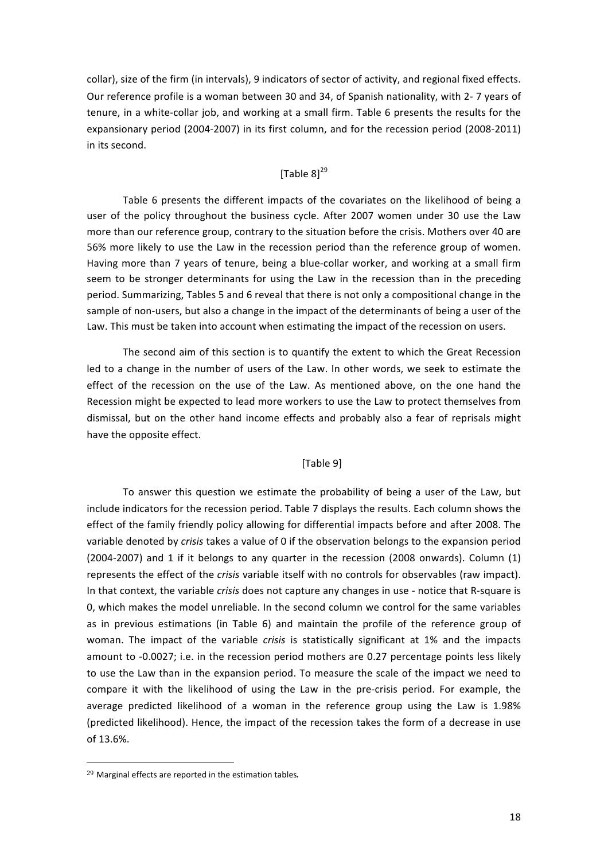collar), size of the firm (in intervals), 9 indicators of sector of activity, and regional fixed effects. Our reference profile is a woman between 30 and 34, of Spanish nationality, with 2-7 years of tenure, in a white-collar job, and working at a small firm. Table 6 presents the results for the expansionary period (2004-2007) in its first column, and for the recession period (2008-2011) in its second.

# [Table  $8]^{29}$

Table 6 presents the different impacts of the covariates on the likelihood of being a user of the policy throughout the business cycle. After 2007 women under 30 use the Law more than our reference group, contrary to the situation before the crisis. Mothers over 40 are 56% more likely to use the Law in the recession period than the reference group of women. Having more than 7 years of tenure, being a blue-collar worker, and working at a small firm seem to be stronger determinants for using the Law in the recession than in the preceding period. Summarizing, Tables 5 and 6 reveal that there is not only a compositional change in the sample of non-users, but also a change in the impact of the determinants of being a user of the Law. This must be taken into account when estimating the impact of the recession on users.

The second aim of this section is to quantify the extent to which the Great Recession led to a change in the number of users of the Law. In other words, we seek to estimate the effect of the recession on the use of the Law. As mentioned above, on the one hand the Recession might be expected to lead more workers to use the Law to protect themselves from dismissal, but on the other hand income effects and probably also a fear of reprisals might have the opposite effect.

### [Table 9]

To answer this question we estimate the probability of being a user of the Law, but include indicators for the recession period. Table 7 displays the results. Each column shows the effect of the family friendly policy allowing for differential impacts before and after 2008. The variable denoted by *crisis* takes a value of 0 if the observation belongs to the expansion period  $(2004-2007)$  and 1 if it belongs to any quarter in the recession  $(2008$  onwards). Column  $(1)$ represents the effect of the *crisis* variable itself with no controls for observables (raw impact). In that context, the variable *crisis* does not capture any changes in use - notice that R-square is 0, which makes the model unreliable. In the second column we control for the same variables as in previous estimations (in Table  $6$ ) and maintain the profile of the reference group of woman. The impact of the variable *crisis* is statistically significant at 1% and the impacts amount to -0.0027; i.e. in the recession period mothers are 0.27 percentage points less likely to use the Law than in the expansion period. To measure the scale of the impact we need to compare it with the likelihood of using the Law in the pre-crisis period. For example, the average predicted likelihood of a woman in the reference group using the Law is 1.98% (predicted likelihood). Hence, the impact of the recession takes the form of a decrease in use of 13.6%.

<u> 1989 - Jan Samuel Barbara, margaret e</u>

 $29$  Marginal effects are reported in the estimation tables.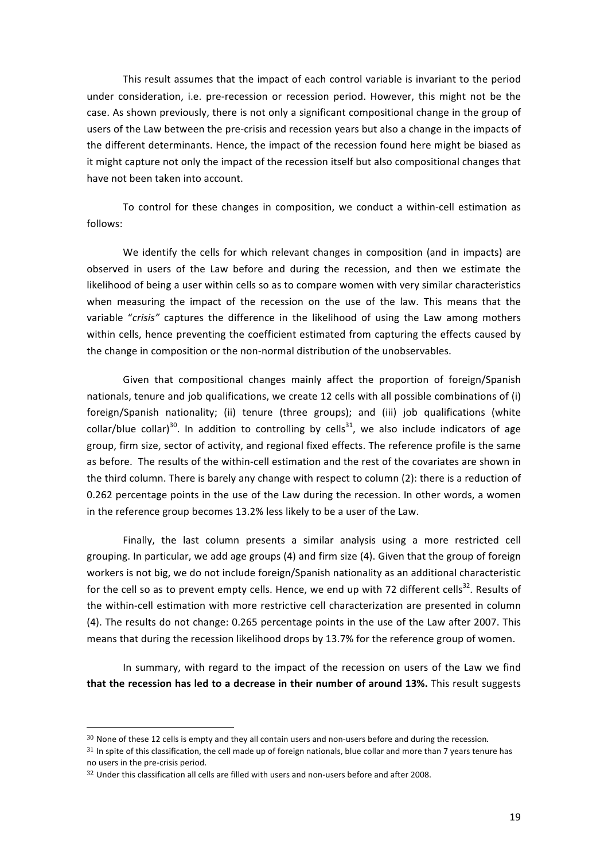This result assumes that the impact of each control variable is invariant to the period under consideration, i.e. pre-recession or recession period. However, this might not be the case. As shown previously, there is not only a significant compositional change in the group of users of the Law between the pre-crisis and recession years but also a change in the impacts of the different determinants. Hence, the impact of the recession found here might be biased as it might capture not only the impact of the recession itself but also compositional changes that have not been taken into account.

To control for these changes in composition, we conduct a within-cell estimation as follows: 

We identify the cells for which relevant changes in composition (and in impacts) are observed in users of the Law before and during the recession, and then we estimate the likelihood of being a user within cells so as to compare women with very similar characteristics when measuring the impact of the recession on the use of the law. This means that the variable "crisis" captures the difference in the likelihood of using the Law among mothers within cells, hence preventing the coefficient estimated from capturing the effects caused by the change in composition or the non-normal distribution of the unobservables.

Given that compositional changes mainly affect the proportion of foreign/Spanish nationals, tenure and job qualifications, we create 12 cells with all possible combinations of (i) foreign/Spanish nationality; (ii) tenure (three groups); and (iii) job qualifications (white collar/blue collar)<sup>30</sup>. In addition to controlling by cells<sup>31</sup>, we also include indicators of age group, firm size, sector of activity, and regional fixed effects. The reference profile is the same as before. The results of the within-cell estimation and the rest of the covariates are shown in the third column. There is barely any change with respect to column (2): there is a reduction of 0.262 percentage points in the use of the Law during the recession. In other words, a women in the reference group becomes 13.2% less likely to be a user of the Law.

Finally, the last column presents a similar analysis using a more restricted cell grouping. In particular, we add age groups (4) and firm size (4). Given that the group of foreign workers is not big, we do not include foreign/Spanish nationality as an additional characteristic for the cell so as to prevent empty cells. Hence, we end up with 72 different cells<sup>32</sup>. Results of the within-cell estimation with more restrictive cell characterization are presented in column (4). The results do not change: 0.265 percentage points in the use of the Law after 2007. This means that during the recession likelihood drops by 13.7% for the reference group of women.

In summary, with regard to the impact of the recession on users of the Law we find **that the recession has led to a decrease in their number of around 13%.** This result suggests

<u> 1989 - Jan Samuel Barbara, margaret e</u>

 $30$  None of these 12 cells is empty and they all contain users and non-users before and during the recession.

 $31$  In spite of this classification, the cell made up of foreign nationals, blue collar and more than 7 years tenure has no users in the pre-crisis period.

 $32$  Under this classification all cells are filled with users and non-users before and after 2008.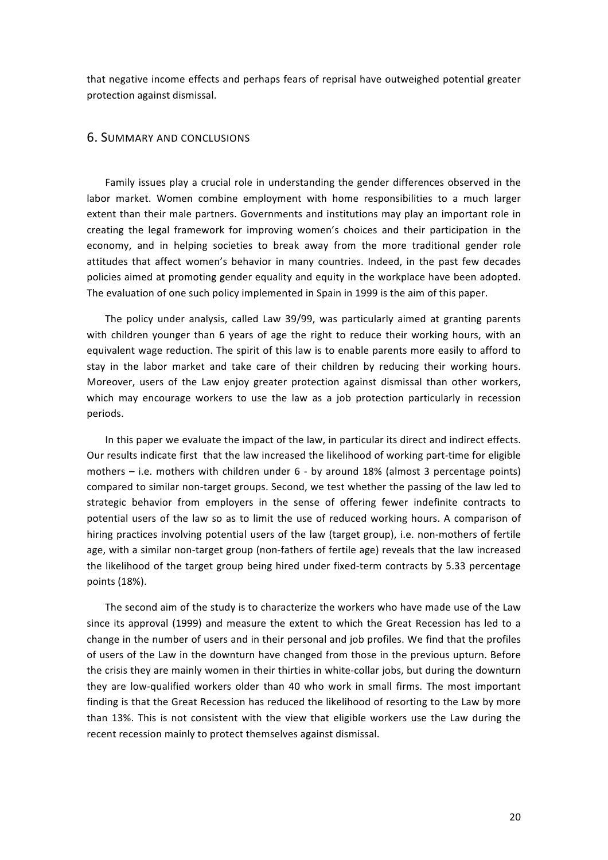that negative income effects and perhaps fears of reprisal have outweighed potential greater protection against dismissal.

### 6. SUMMARY AND CONCLUSIONS

Family issues play a crucial role in understanding the gender differences observed in the labor market. Women combine employment with home responsibilities to a much larger extent than their male partners. Governments and institutions may play an important role in creating the legal framework for improving women's choices and their participation in the economy, and in helping societies to break away from the more traditional gender role attitudes that affect women's behavior in many countries. Indeed, in the past few decades policies aimed at promoting gender equality and equity in the workplace have been adopted. The evaluation of one such policy implemented in Spain in 1999 is the aim of this paper.

The policy under analysis, called Law 39/99, was particularly aimed at granting parents with children younger than 6 years of age the right to reduce their working hours, with an equivalent wage reduction. The spirit of this law is to enable parents more easily to afford to stay in the labor market and take care of their children by reducing their working hours. Moreover, users of the Law enjoy greater protection against dismissal than other workers, which may encourage workers to use the law as a job protection particularly in recession periods. 

In this paper we evaluate the impact of the law, in particular its direct and indirect effects. Our results indicate first that the law increased the likelihood of working part-time for eligible mothers  $-$  i.e. mothers with children under  $6$  - by around 18% (almost 3 percentage points) compared to similar non-target groups. Second, we test whether the passing of the law led to strategic behavior from employers in the sense of offering fewer indefinite contracts to potential users of the law so as to limit the use of reduced working hours. A comparison of hiring practices involving potential users of the law (target group), i.e. non-mothers of fertile age, with a similar non-target group (non-fathers of fertile age) reveals that the law increased the likelihood of the target group being hired under fixed-term contracts by 5.33 percentage points (18%). 

The second aim of the study is to characterize the workers who have made use of the Law since its approval (1999) and measure the extent to which the Great Recession has led to a change in the number of users and in their personal and job profiles. We find that the profiles of users of the Law in the downturn have changed from those in the previous upturn. Before the crisis they are mainly women in their thirties in white-collar jobs, but during the downturn they are low-qualified workers older than 40 who work in small firms. The most important finding is that the Great Recession has reduced the likelihood of resorting to the Law by more than 13%. This is not consistent with the view that eligible workers use the Law during the recent recession mainly to protect themselves against dismissal.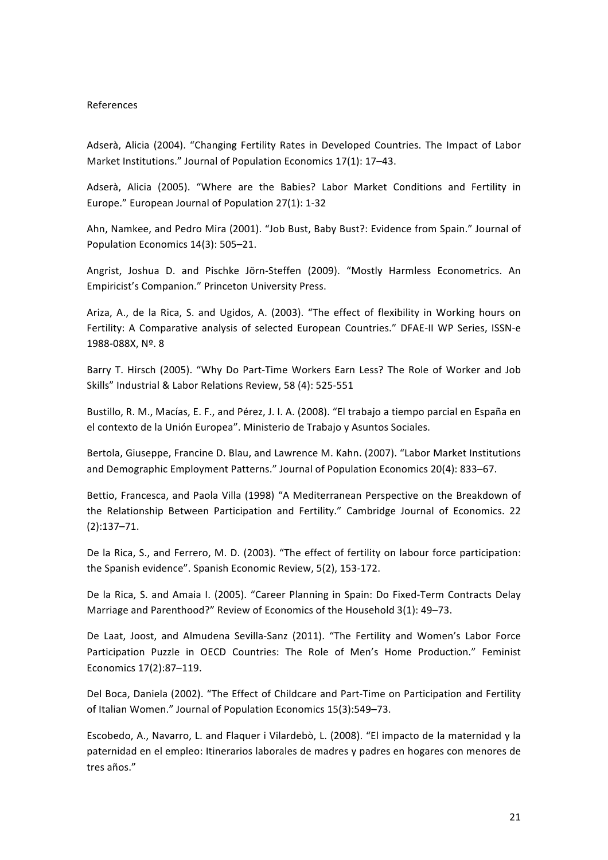## References

Adserà, Alicia (2004). "Changing Fertility Rates in Developed Countries. The Impact of Labor Market Institutions." Journal of Population Economics 17(1): 17-43.

Adserà, Alicia (2005). "Where are the Babies? Labor Market Conditions and Fertility in Europe." European Journal of Population 27(1): 1-32

Ahn, Namkee, and Pedro Mira (2001). "Job Bust, Baby Bust?: Evidence from Spain." Journal of Population Economics 14(3): 505-21.

Angrist, Joshua D. and Pischke Jörn-Steffen (2009). "Mostly Harmless Econometrics. An Empiricist's Companion." Princeton University Press.

Ariza, A., de la Rica, S. and Ugidos, A. (2003). "The effect of flexibility in Working hours on Fertility: A Comparative analysis of selected European Countries." DFAE-II WP Series, ISSN-e 1988-088X, Nº. 8

Barry T. Hirsch (2005). "Why Do Part-Time Workers Earn Less? The Role of Worker and Job Skills" Industrial & Labor Relations Review, 58 (4): 525-551

Bustillo, R. M., Macías, E. F., and Pérez, J. I. A. (2008). "El trabajo a tiempo parcial en España en el contexto de la Unión Europea". Ministerio de Trabajo y Asuntos Sociales.

Bertola, Giuseppe, Francine D. Blau, and Lawrence M. Kahn. (2007). "Labor Market Institutions and Demographic Employment Patterns." Journal of Population Economics 20(4): 833–67.

Bettio, Francesca, and Paola Villa (1998) "A Mediterranean Perspective on the Breakdown of the Relationship Between Participation and Fertility." Cambridge Journal of Economics. 22 (2):137–71.

De la Rica, S., and Ferrero, M. D. (2003). "The effect of fertility on labour force participation: the Spanish evidence". Spanish Economic Review, 5(2), 153-172.

De la Rica, S. and Amaia I. (2005). "Career Planning in Spain: Do Fixed-Term Contracts Delay Marriage and Parenthood?" Review of Economics of the Household 3(1): 49-73.

De Laat, Joost, and Almudena Sevilla-Sanz (2011). "The Fertility and Women's Labor Force Participation Puzzle in OECD Countries: The Role of Men's Home Production." Feminist Economics 17(2):87–119.

Del Boca, Daniela (2002). "The Effect of Childcare and Part-Time on Participation and Fertility of Italian Women." Journal of Population Economics 15(3):549-73.

Escobedo, A., Navarro, L. and Flaquer i Vilardebò, L. (2008). "El impacto de la maternidad y la paternidad en el empleo: Itinerarios laborales de madres y padres en hogares con menores de tres años."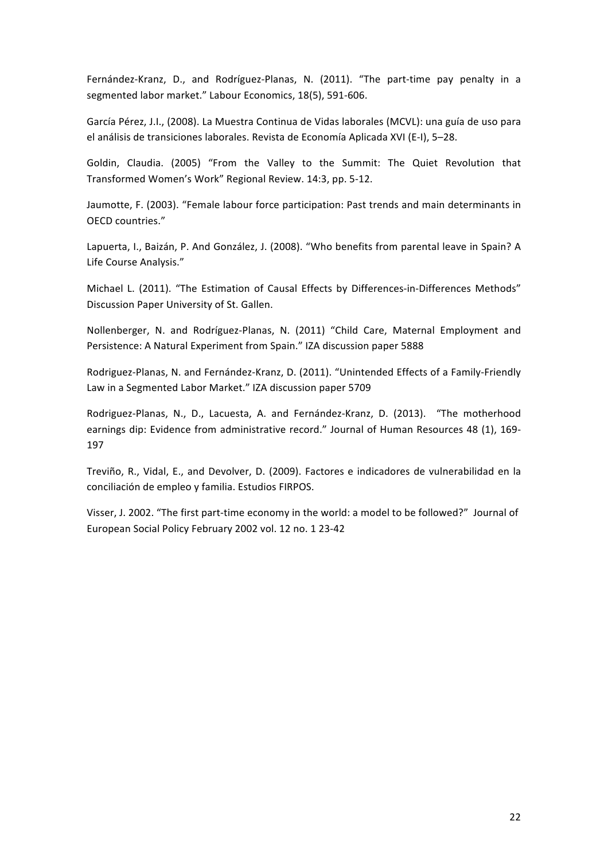Fernández-Kranz, D., and Rodríguez-Planas, N. (2011). "The part-time pay penalty in a segmented labor market." Labour Economics, 18(5), 591-606.

García Pérez, J.I., (2008). La Muestra Continua de Vidas laborales (MCVL): una guía de uso para el análisis de transiciones laborales. Revista de Economía Aplicada XVI (E-I), 5-28.

Goldin, Claudia. (2005) "From the Valley to the Summit: The Quiet Revolution that Transformed Women's Work" Regional Review. 14:3, pp. 5-12.

Jaumotte, F. (2003). "Female labour force participation: Past trends and main determinants in OECD countries."

Lapuerta, I., Baizán, P. And González, J. (2008). "Who benefits from parental leave in Spain? A Life Course Analysis."

Michael L. (2011). "The Estimation of Causal Effects by Differences-in-Differences Methods" Discussion Paper University of St. Gallen.

Nollenberger, N. and Rodríguez-Planas, N. (2011) "Child Care, Maternal Employment and Persistence: A Natural Experiment from Spain." IZA discussion paper 5888

Rodriguez-Planas, N. and Fernández-Kranz, D. (2011). "Unintended Effects of a Family-Friendly Law in a Segmented Labor Market." IZA discussion paper 5709

Rodriguez-Planas, N., D., Lacuesta, A. and Fernández-Kranz, D. (2013). "The motherhood earnings dip: Evidence from administrative record." Journal of Human Resources 48 (1), 169-197

Treviño, R., Vidal, E., and Devolver, D. (2009). Factores e indicadores de vulnerabilidad en la conciliación de empleo y familia. Estudios FIRPOS.

Visser, J. 2002. "The first part-time economy in the world: a model to be followed?" Journal of European Social Policy February 2002 vol. 12 no. 1 23-42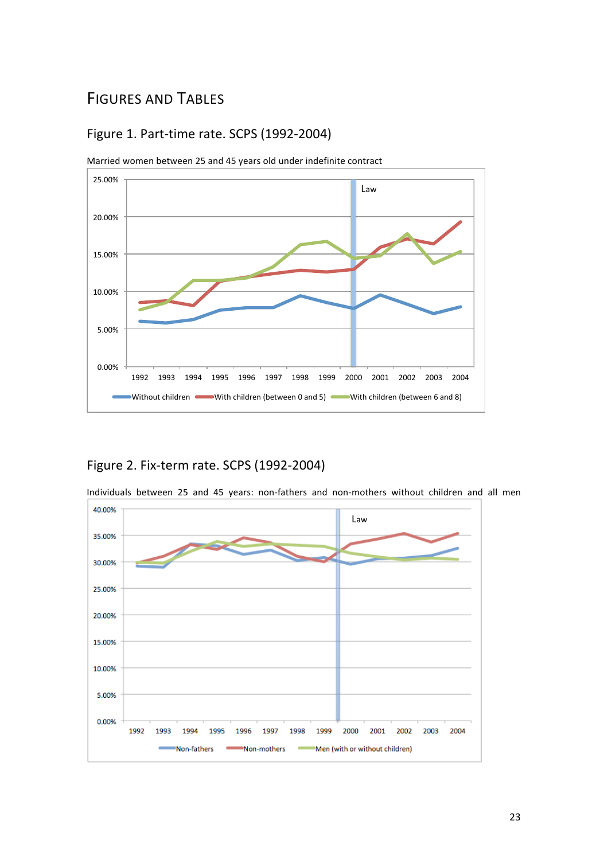# **FIGURES AND TABLES**

# Figure 1. Part-time rate. SCPS (1992-2004)



Married women between 25 and 45 years old under indefinite contract

# Figure 2. Fix-term rate. SCPS (1992-2004)



Individuals between 25 and 45 years: non-fathers and non-mothers without children and all men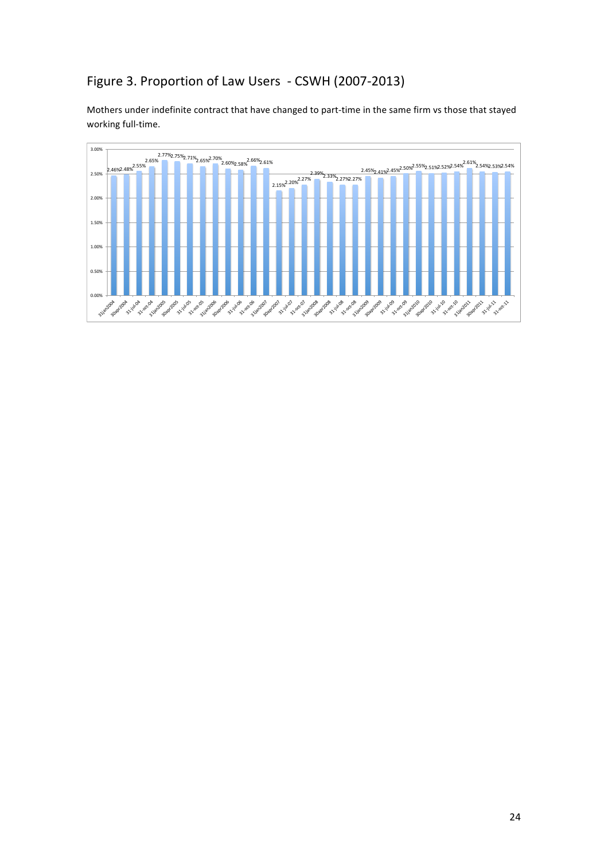# Figure 3. Proportion of Law Users - CSWH (2007-2013)

Mothers under indefinite contract that have changed to part-time in the same firm vs those that stayed working full-time.

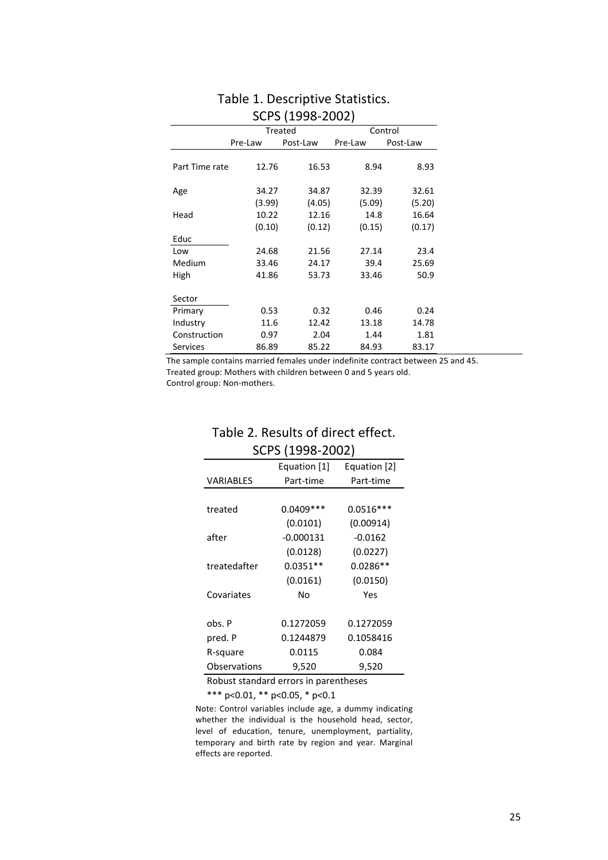|                | Treated |          | Control |          |
|----------------|---------|----------|---------|----------|
|                | Pre-Law | Post-Law | Pre-Law | Post-Law |
| Part Time rate | 12.76   | 16.53    | 8.94    | 8.93     |
| Age            | 34.27   | 34.87    | 32.39   | 32.61    |
|                | (3.99)  | (4.05)   | (5.09)  | (5.20)   |
| Head           | 10.22   | 12.16    | 14.8    | 16.64    |
|                | (0.10)  | (0.12)   | (0.15)  | (0.17)   |
| Educ           |         |          |         |          |
| Low            | 24.68   | 21.56    | 27.14   | 23.4     |
| Medium         | 33.46   | 24.17    | 39.4    | 25.69    |
| High           | 41.86   | 53.73    | 33.46   | 50.9     |
| Sector         |         |          |         |          |
| Primary        | 0.53    | 0.32     | 0.46    | 0.24     |
| Industry       | 11.6    | 12.42    | 13.18   | 14.78    |
| Construction   | 0.97    | 2.04     | 1.44    | 1.81     |
| Services       | 86.89   | 85.22    | 84.93   | 83.17    |

## Table 1. Descriptive Statistics.  $CCPC(1900-2002)$

The sample contains married females under indefinite contract between 25 and 45. Treated group: Mothers with children between 0 and 5 years old. Control group: Non-mothers.

| SCPS (1998-2002) |              |              |  |  |
|------------------|--------------|--------------|--|--|
|                  | Equation [1] | Equation [2] |  |  |
| VARIABLES        | Part-time    | Part-time    |  |  |
|                  |              |              |  |  |
| treated          | $0.0409***$  | $0.0516***$  |  |  |
|                  | (0.0101)     | (0.00914)    |  |  |
| after            | $-0.000131$  | $-0.0162$    |  |  |
|                  | (0.0128)     | (0.0227)     |  |  |
| treatedafter     | $0.0351**$   | $0.0286**$   |  |  |
|                  | (0.0161)     | (0.0150)     |  |  |
| Covariates       | N٥           | Yes          |  |  |
|                  |              |              |  |  |
| obs. P           | 0.1272059    | 0.1272059    |  |  |
| pred. P          | 0.1244879    | 0.1058416    |  |  |
| R-square         | 0.0115       | 0.084        |  |  |
| Observations     | 9,520        | 9,520        |  |  |

# Table 2. Results of direct effect. SCPS (1998-2002)

Robust standard errors in parentheses

\*\*\* p<0.01, \*\* p<0.05, \* p<0.1

Note: Control variables include age, a dummy indicating whether the individual is the household head, sector, level of education, tenure, unemployment, partiality, temporary and birth rate by region and year. Marginal effects are reported.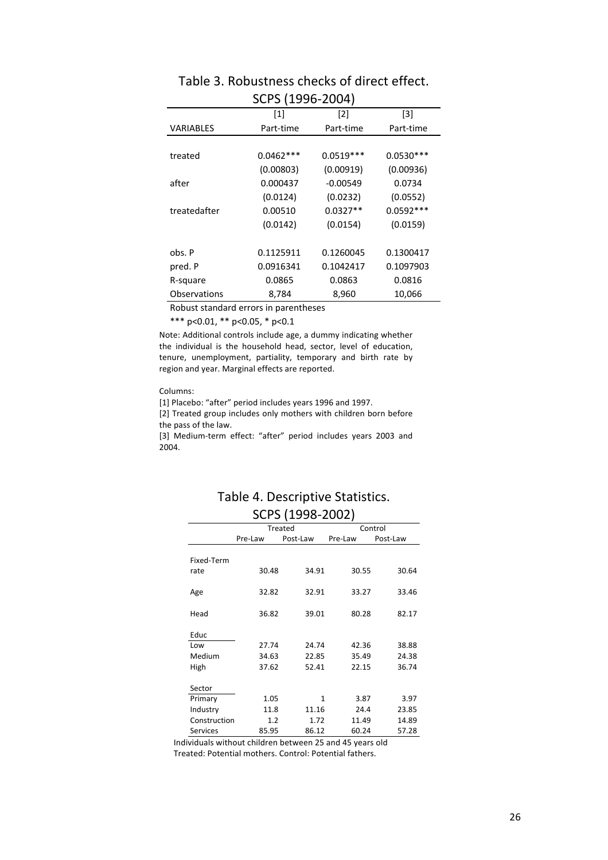| JUT J (IJJJU-ZUUH) |             |             |             |  |  |
|--------------------|-------------|-------------|-------------|--|--|
|                    | $[1]$       | $[2]$       | [3]         |  |  |
| <b>VARIABLES</b>   | Part-time   | Part-time   | Part-time   |  |  |
|                    |             |             |             |  |  |
| treated            | $0.0462***$ | $0.0519***$ | $0.0530***$ |  |  |
|                    | (0.00803)   | (0.00919)   | (0.00936)   |  |  |
| after              | 0.000437    | $-0.00549$  | 0.0734      |  |  |
|                    | (0.0124)    | (0.0232)    | (0.0552)    |  |  |
| treatedafter       | 0.00510     | $0.0327**$  | $0.0592***$ |  |  |
|                    | (0.0142)    | (0.0154)    | (0.0159)    |  |  |
|                    |             |             |             |  |  |
| obs. P             | 0.1125911   | 0.1260045   | 0.1300417   |  |  |
| pred. P            | 0.0916341   | 0.1042417   | 0.1097903   |  |  |
| R-square           | 0.0865      | 0.0863      | 0.0816      |  |  |
| Observations       | 8,784       | 8,960       | 10,066      |  |  |

# Table 3. Robustness checks of direct effect. SCPS (1996-2004)

Robust standard errors in parentheses

\*\*\*  $p<0.01$ , \*\*  $p<0.05$ , \*  $p<0.1$ 

Note: Additional controls include age, a dummy indicating whether the individual is the household head, sector, level of education, tenure, unemployment, partiality, temporary and birth rate by region and year. Marginal effects are reported.

Columns: 

[1] Placebo: "after" period includes years 1996 and 1997.

[2] Treated group includes only mothers with children born before the pass of the law.

[3] Medium-term effect: "after" period includes years 2003 and 2004.

| SCPS (1998-2002)   |         |          |         |          |
|--------------------|---------|----------|---------|----------|
|                    | Treated |          | Control |          |
|                    | Pre-Law | Post-Law | Pre-Law | Post-Law |
| Fixed-Term<br>rate | 30.48   | 34.91    | 30.55   | 30.64    |
|                    |         |          |         |          |
| Age                | 32.82   | 32.91    | 33.27   | 33.46    |
| Head               | 36.82   | 39.01    | 80.28   | 82.17    |
| Educ               |         |          |         |          |
| Low                | 27.74   | 24.74    | 42.36   | 38.88    |
| Medium             | 34.63   | 22.85    | 35.49   | 24.38    |
| High               | 37.62   | 52.41    | 22.15   | 36.74    |
| Sector             |         |          |         |          |
| Primary            | 1.05    | 1        | 3.87    | 3.97     |
| Industry           | 11.8    | 11.16    | 24.4    | 23.85    |
| Construction       | 1.2     | 1.72     | 11.49   | 14.89    |
| <b>Services</b>    | 85.95   | 86.12    | 60.24   | 57.28    |

# Table 4. Descriptive Statistics.

Individuals without children between 25 and 45 years old Treated: Potential mothers. Control: Potential fathers.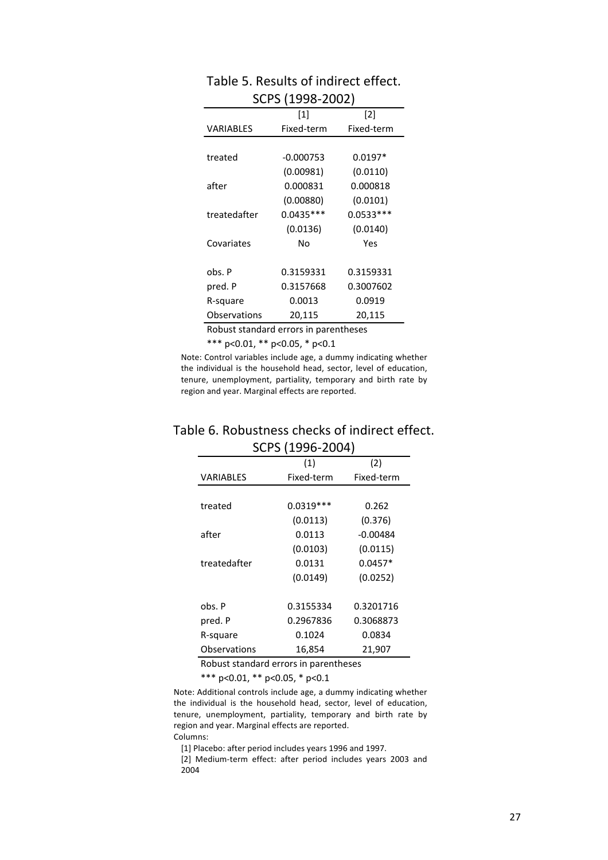| JULJ (1990-2002) |             |             |  |
|------------------|-------------|-------------|--|
|                  | [1]         | [2]         |  |
| <b>VARIABLES</b> | Fixed-term  | Fixed-term  |  |
|                  |             |             |  |
| treated          | $-0.000753$ | $0.0197*$   |  |
|                  | (0.00981)   | (0.0110)    |  |
| after            | 0.000831    | 0.000818    |  |
|                  | (0.00880)   | (0.0101)    |  |
| treatedafter     | $0.0435***$ | $0.0533***$ |  |
|                  | (0.0136)    | (0.0140)    |  |
| Covariates       | No          | Yes         |  |
|                  |             |             |  |
| obs. P           | 0.3159331   | 0.3159331   |  |
| pred. P          | 0.3157668   | 0.3007602   |  |
| R-square         | 0.0013      | 0.0919      |  |
| Observations     | 20,115      | 20,115      |  |

| Table 5. Results of indirect effect. |
|--------------------------------------|
| SCPS (1998-2002)                     |

Robust standard errors in parentheses

\*\*\* p<0.01, \*\* p<0.05, \* p<0.1

Note: Control variables include age, a dummy indicating whether the individual is the household head, sector, level of education, tenure, unemployment, partiality, temporary and birth rate by region and year. Marginal effects are reported.

|                         | (1)         | (2)        |
|-------------------------|-------------|------------|
| <b><i>VARIABLES</i></b> | Fixed-term  | Fixed-term |
|                         |             |            |
| treated                 | $0.0319***$ | 0.262      |
|                         | (0.0113)    | (0.376)    |
| after                   | 0.0113      | $-0.00484$ |
|                         | (0.0103)    | (0.0115)   |
| treatedafter            | 0.0131      | $0.0457*$  |
|                         | (0.0149)    | (0.0252)   |
|                         |             |            |
| obs. P                  | 0.3155334   | 0.3201716  |
| pred. P                 | 0.2967836   | 0.3068873  |
| R-square                | 0.1024      | 0.0834     |
| Observations            | 16,854      | 21,907     |

# Table 6. Robustness checks of indirect effect. SCPS (1996-2004)

Robust standard errors in parentheses

\*\*\*  $p<0.01$ , \*\*  $p<0.05$ , \*  $p<0.1$ 

Note: Additional controls include age, a dummy indicating whether the individual is the household head, sector, level of education, tenure, unemployment, partiality, temporary and birth rate by region and year. Marginal effects are reported. Columns: 

[1] Placebo: after period includes years 1996 and 1997.

[2] Medium-term effect: after period includes years 2003 and 2004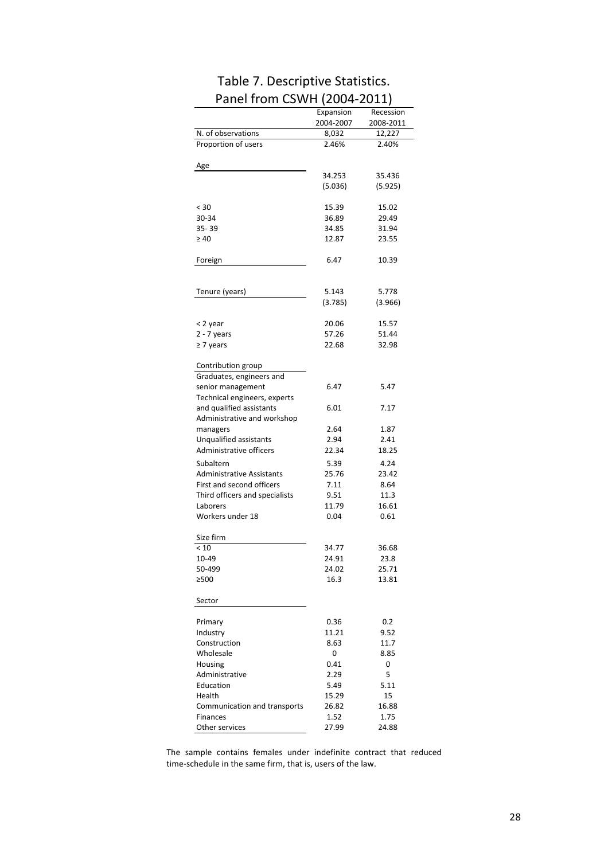| Panel from CSWH (2004-2011)      |                        |                        |
|----------------------------------|------------------------|------------------------|
|                                  | Expansion<br>2004-2007 | Recession<br>2008-2011 |
| N. of observations               | 8,032                  | 12,227                 |
| Proportion of users              | 2.46%                  | 2.40%                  |
|                                  |                        |                        |
| Age                              |                        |                        |
|                                  | 34.253                 | 35.436                 |
|                                  | (5.036)                | (5.925)                |
| $30$                             | 15.39                  | 15.02                  |
| 30-34                            | 36.89                  | 29.49                  |
| 35-39                            | 34.85                  | 31.94                  |
| $\geq 40$                        | 12.87                  | 23.55                  |
| Foreign                          | 6.47                   | 10.39                  |
|                                  |                        |                        |
| Tenure (years)                   | 5.143                  | 5.778                  |
|                                  | (3.785)                | (3.966)                |
| < 2 year                         | 20.06                  | 15.57                  |
| 2 - 7 years                      | 57.26                  | 51.44                  |
| $\geq 7$ years                   | 22.68                  | 32.98                  |
| Contribution group               |                        |                        |
| Graduates, engineers and         |                        |                        |
| senior management                | 6.47                   | 5.47                   |
| Technical engineers, experts     |                        |                        |
| and qualified assistants         | 6.01                   | 7.17                   |
| Administrative and workshop      |                        |                        |
| managers                         | 2.64                   | 1.87                   |
| Unqualified assistants           | 2.94                   | 2.41                   |
| Administrative officers          | 22.34                  | 18.25                  |
| Subaltern                        | 5.39                   | 4.24                   |
| <b>Administrative Assistants</b> | 25.76                  | 23.42                  |
| First and second officers        | 7.11                   | 8.64                   |
| Third officers and specialists   | 9.51                   | 11.3                   |
| Laborers                         | 11.79                  | 16.61                  |
| Workers under 18                 | 0.04                   | 0.61                   |
| Size firm                        |                        |                        |
| < 10                             | 34.77                  | 36.68                  |
| 10-49                            | 24.91                  | 23.8                   |
| 50-499                           | 24.02                  | 25.71                  |
| ≥500                             | 16.3                   | 13.81                  |
| Sector                           |                        |                        |
| Primary                          | 0.36                   | 0.2                    |
| Industry                         | 11.21                  | 9.52                   |
| Construction                     | 8.63                   | 11.7                   |
| Wholesale                        | 0                      | 8.85                   |
| Housing                          | 0.41                   | 0                      |
| Administrative                   | 2.29                   | 5                      |
| Education                        | 5.49                   | 5.11                   |
| Health                           | 15.29                  | 15                     |
| Communication and transports     | 26.82                  | 16.88                  |
| Finances                         | 1.52                   | 1.75                   |
| Other services                   | 27.99                  | 24.88                  |

# Table 7. Descriptive Statistics.<br>Papel from CSWH (2004-2011)  $C$ SWH (2004-2011)

The sample contains females under indefinite contract that reduced time-schedule in the same firm, that is, users of the law.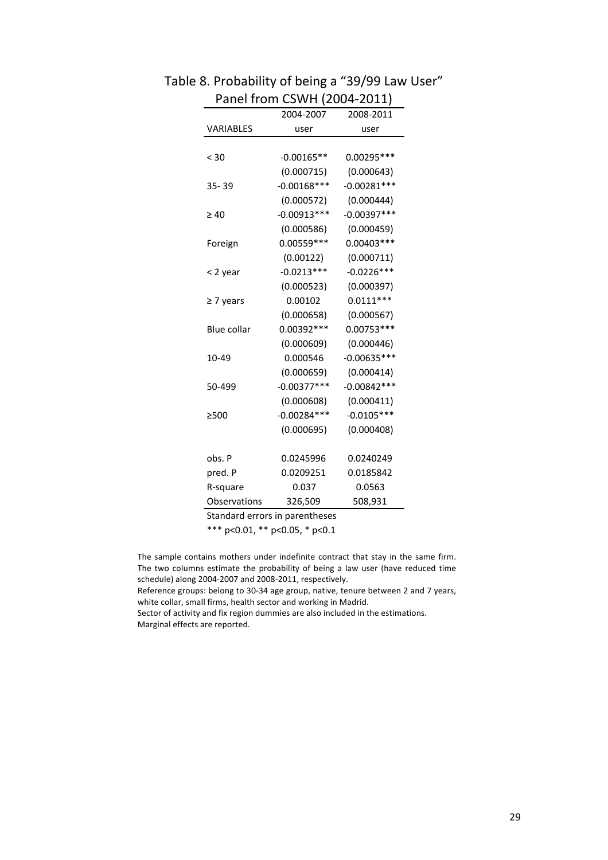|                                | <br>2004-2007  | 2008-2011     |  |
|--------------------------------|----------------|---------------|--|
| VARIABLES                      | user           | user          |  |
|                                |                |               |  |
| $<$ 30                         | $-0.00165**$   | 0.00295 ***   |  |
|                                | (0.000715)     | (0.000643)    |  |
| 35-39                          | $-0.00168$ *** | $-0.00281***$ |  |
|                                | (0.000572)     | (0.000444)    |  |
| $\geq 40$                      | $-0.00913***$  | $-0.00397***$ |  |
|                                | (0.000586)     | (0.000459)    |  |
| Foreign                        | 0.00559 ***    | $0.00403***$  |  |
|                                | (0.00122)      | (0.000711)    |  |
| < 2 year                       | $-0.0213***$   | $-0.0226***$  |  |
|                                | (0.000523)     | (0.000397)    |  |
| $\geq 7$ years                 | 0.00102        | $0.0111***$   |  |
|                                | (0.000658)     | (0.000567)    |  |
| Blue collar                    | $0.00392***$   | $0.00753***$  |  |
|                                | (0.000609)     | (0.000446)    |  |
| 10-49                          | 0.000546       | $-0.00635***$ |  |
|                                | (0.000659)     | (0.000414)    |  |
| 50-499                         | $-0.00377***$  | $-0.00842***$ |  |
|                                | (0.000608)     | (0.000411)    |  |
| >500                           | $-0.00284***$  | $-0.0105***$  |  |
|                                | (0.000695)     | (0.000408)    |  |
|                                |                |               |  |
| obs. P                         | 0.0245996      | 0.0240249     |  |
| pred. P                        | 0.0209251      | 0.0185842     |  |
| R-square                       | 0.037          | 0.0563        |  |
| Observations                   | 326,509        | 508,931       |  |
| Standard errors in parentheses |                |               |  |

# Table 8. Probability of being a "39/99 Law User" Panel from CSWH (2004-2011)

\*\*\* p<0.01, \*\* p<0.05, \* p<0.1

The sample contains mothers under indefinite contract that stay in the same firm. The two columns estimate the probability of being a law user (have reduced time schedule) along 2004-2007 and 2008-2011, respectively.

Reference groups: belong to 30-34 age group, native, tenure between 2 and 7 years, white collar, small firms, health sector and working in Madrid.

Sector of activity and fix region dummies are also included in the estimations. Marginal effects are reported.